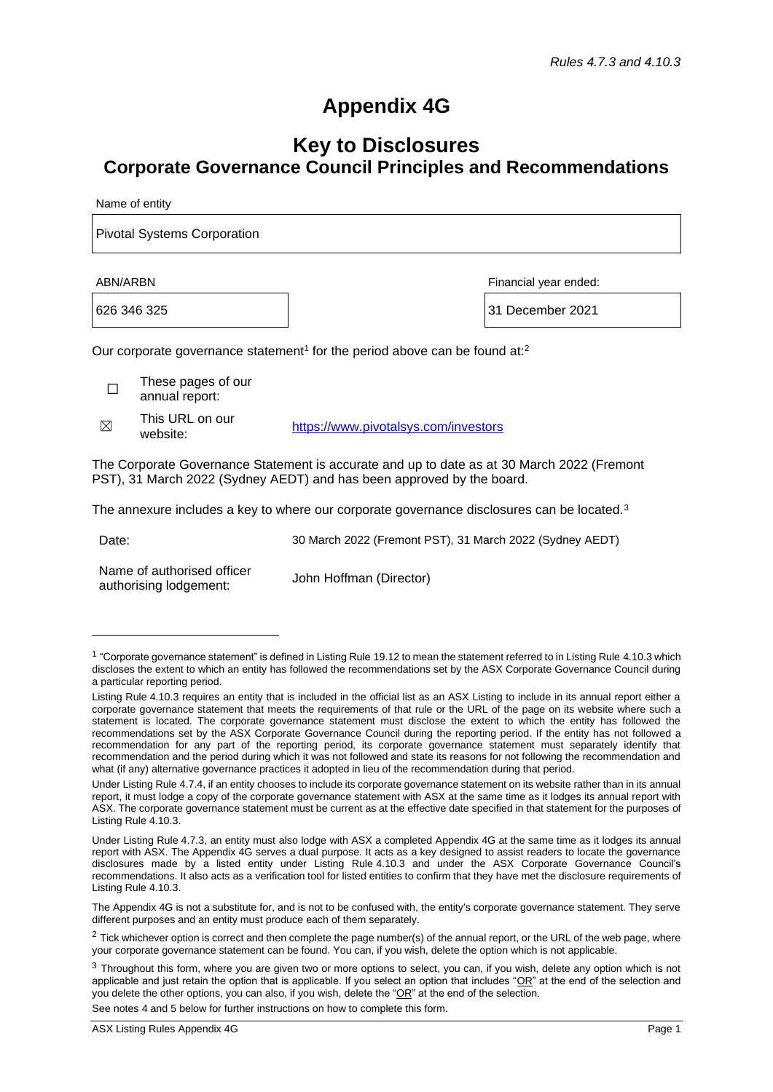# **Appendix 4G**

# **Key to Disclosures Corporate Governance Council Principles and Recommendations**

Name of entity

Pivotal Systems Corporation

ABN/ARBN Financial year ended:

626 346 325 31 December 2021

Our corporate governance statement<sup>1</sup> for the period above can be found at:<sup>2</sup>

 $\Box$ These pages of our annual report:

 $\nabla$ This URL on our

This URL 011 001<br>website: [https://www.pivotalsys.com/investors](https://www.pivotalsys.com/investors/)

The Corporate Governance Statement is accurate and up to date as at 30 March 2022 (Fremont PST), 31 March 2022 (Sydney AEDT) and has been approved by the board.

The annexure includes a key to where our corporate governance disclosures can be located.<sup>3</sup>

Date: 30 March 2022 (Fremont PST), 31 March 2022 (Sydney AEDT)

Name of authorised officer authorising lodgement: John Hoffman (Director)

See notes 4 and 5 below for further instructions on how to complete this form.

<sup>&</sup>lt;sup>1</sup> "Corporate governance statement" is defined in Listing Rule 19.12 to mean the statement referred to in Listing Rule 4.10.3 which discloses the extent to which an entity has followed the recommendations set by the ASX Corporate Governance Council during a particular reporting period.

Listing Rule 4.10.3 requires an entity that is included in the official list as an ASX Listing to include in its annual report either a corporate governance statement that meets the requirements of that rule or the URL of the page on its website where such a statement is located. The corporate governance statement must disclose the extent to which the entity has followed the recommendations set by the ASX Corporate Governance Council during the reporting period. If the entity has not followed a recommendation for any part of the reporting period, its corporate governance statement must separately identify that recommendation and the period during which it was not followed and state its reasons for not following the recommendation and what (if any) alternative governance practices it adopted in lieu of the recommendation during that period.

Under Listing Rule 4.7.4, if an entity chooses to include its corporate governance statement on its website rather than in its annual report, it must lodge a copy of the corporate governance statement with ASX at the same time as it lodges its annual report with ASX. The corporate governance statement must be current as at the effective date specified in that statement for the purposes of Listing Rule 4.10.3.

Under Listing Rule 4.7.3, an entity must also lodge with ASX a completed Appendix 4G at the same time as it lodges its annual report with ASX. The Appendix 4G serves a dual purpose. It acts as a key designed to assist readers to locate the governance disclosures made by a listed entity under Listing Rule 4.10.3 and under the ASX Corporate Governance Council's recommendations. It also acts as a verification tool for listed entities to confirm that they have met the disclosure requirements of Listing Rule 4.10.3.

The Appendix 4G is not a substitute for, and is not to be confused with, the entity's corporate governance statement. They serve different purposes and an entity must produce each of them separately.

<sup>&</sup>lt;sup>2</sup> Tick whichever option is correct and then complete the page number(s) of the annual report, or the URL of the web page, where your corporate governance statement can be found. You can, if you wish, delete the option which is not applicable.

<sup>&</sup>lt;sup>3</sup> Throughout this form, where you are given two or more options to select, you can, if you wish, delete any option which is not applicable and just retain the option that is applicable. If you select an option that includes " $OR$ " at the end of the selection and you delete the other options, you can also, if you wish, delete the "OR" at the end of the selection.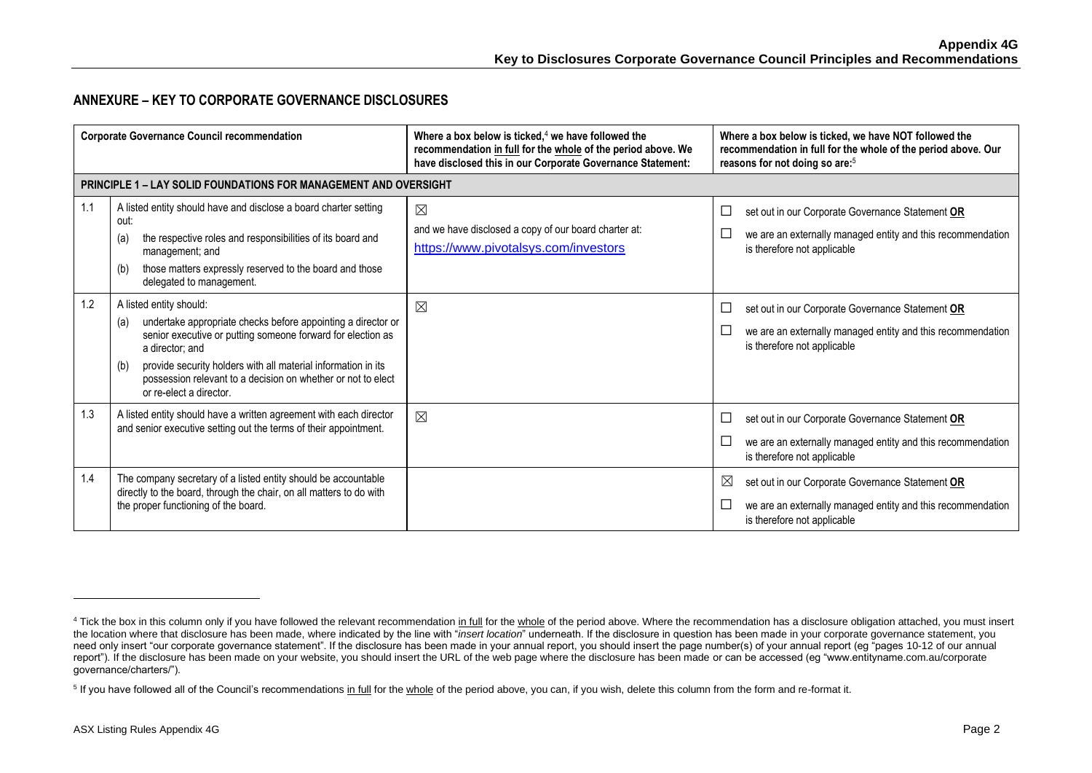# **ANNEXURE – KEY TO CORPORATE GOVERNANCE DISCLOSURES**

| <b>Corporate Governance Council recommendation</b> |                                                                                                                                                                                                                                                                                                                                                     | Where a box below is ticked, $4$ we have followed the<br>recommendation in full for the whole of the period above. We<br>have disclosed this in our Corporate Governance Statement: | Where a box below is ticked, we have NOT followed the<br>recommendation in full for the whole of the period above. Our<br>reasons for not doing so are: <sup>5</sup>    |
|----------------------------------------------------|-----------------------------------------------------------------------------------------------------------------------------------------------------------------------------------------------------------------------------------------------------------------------------------------------------------------------------------------------------|-------------------------------------------------------------------------------------------------------------------------------------------------------------------------------------|-------------------------------------------------------------------------------------------------------------------------------------------------------------------------|
|                                                    | <b>PRINCIPLE 1 – LAY SOLID FOUNDATIONS FOR MANAGEMENT AND OVERSIGHT</b>                                                                                                                                                                                                                                                                             |                                                                                                                                                                                     |                                                                                                                                                                         |
| 1.1                                                | A listed entity should have and disclose a board charter setting<br>out:<br>the respective roles and responsibilities of its board and<br>(a)<br>management; and<br>those matters expressly reserved to the board and those<br>(b)<br>delegated to management.                                                                                      | $\boxtimes$<br>and we have disclosed a copy of our board charter at:<br>https://www.pivotalsys.com/investors                                                                        | set out in our Corporate Governance Statement OR<br>$\Box$<br>we are an externally managed entity and this recommendation<br>is therefore not applicable                |
| 1.2                                                | A listed entity should:<br>undertake appropriate checks before appointing a director or<br>(a)<br>senior executive or putting someone forward for election as<br>a director: and<br>provide security holders with all material information in its<br>(b)<br>possession relevant to a decision on whether or not to elect<br>or re-elect a director. | $\boxtimes$                                                                                                                                                                         | set out in our Corporate Governance Statement OR<br>$\Box$<br>we are an externally managed entity and this recommendation<br>$\Box$<br>is therefore not applicable      |
| 1.3                                                | A listed entity should have a written agreement with each director<br>and senior executive setting out the terms of their appointment.                                                                                                                                                                                                              | $\boxtimes$                                                                                                                                                                         | set out in our Corporate Governance Statement OR<br>L<br>we are an externally managed entity and this recommendation<br>is therefore not applicable                     |
| 1.4                                                | The company secretary of a listed entity should be accountable<br>directly to the board, through the chair, on all matters to do with<br>the proper functioning of the board.                                                                                                                                                                       |                                                                                                                                                                                     | $\boxtimes$<br>set out in our Corporate Governance Statement OR<br>we are an externally managed entity and this recommendation<br>$\Box$<br>is therefore not applicable |

<sup>&</sup>lt;sup>4</sup> Tick the box in this column only if you have followed the relevant recommendation in full for the whole of the period above. Where the recommendation has a disclosure obligation attached, you must insert the location where that disclosure has been made, where indicated by the line with "*insert location*" underneath. If the disclosure in question has been made in your corporate governance statement, you need only insert "our corporate governance statement". If the disclosure has been made in your annual report, you should insert the page number(s) of your annual report (eg "pages 10-12 of our annual report"). If the disclosure has been made on your website, you should insert the URL of the web page where the disclosure has been made or can be accessed (eg "www.entityname.com.au/corporate governance/charters/").

<sup>&</sup>lt;sup>5</sup> If you have followed all of the Council's recommendations in full for the whole of the period above, you can, if you wish, delete this column from the form and re-format it.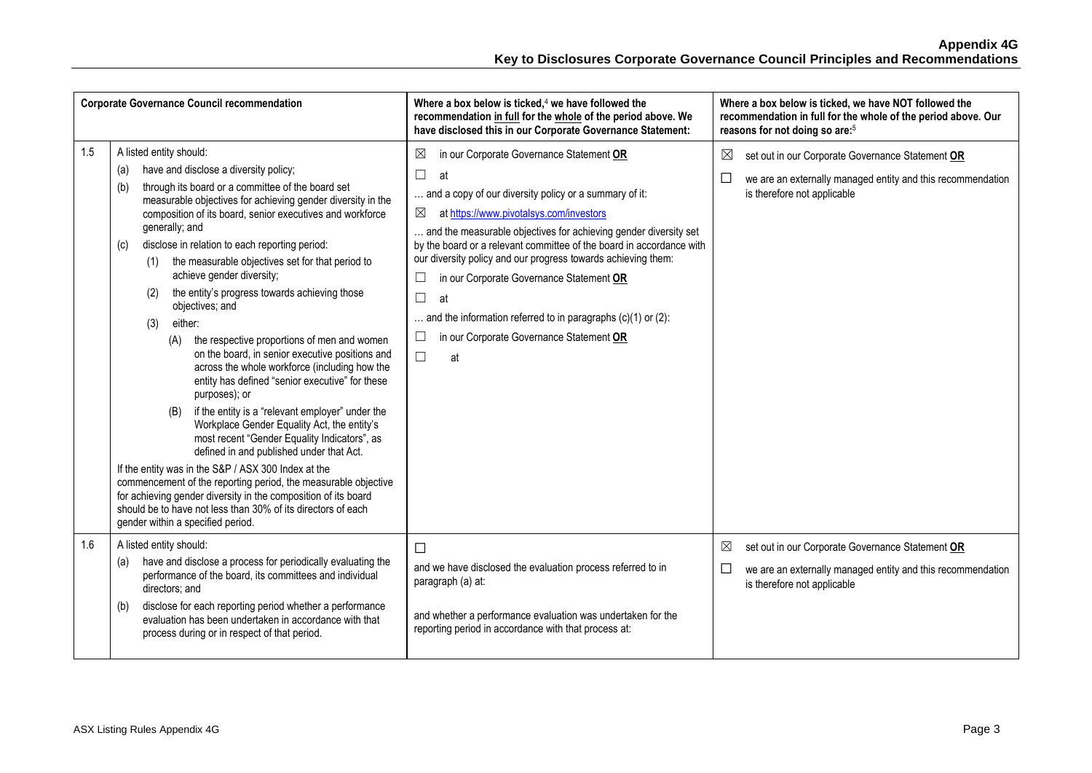|     | <b>Corporate Governance Council recommendation</b>                                                                                                                                                                                                                                                                                                                                                                                                                                                                                                                                                                                                                                                                                                                                                                                                                                                                                                                                                                                                                                                                                                                                                                                                                  | Where a box below is ticked, $4$ we have followed the<br>recommendation in full for the whole of the period above. We<br>have disclosed this in our Corporate Governance Statement:                                                                                                                                                                                                                                                                                                                                                                                                         | Where a box below is ticked, we have NOT followed the<br>recommendation in full for the whole of the period above. Our<br>reasons for not doing so are: <sup>5</sup>    |
|-----|---------------------------------------------------------------------------------------------------------------------------------------------------------------------------------------------------------------------------------------------------------------------------------------------------------------------------------------------------------------------------------------------------------------------------------------------------------------------------------------------------------------------------------------------------------------------------------------------------------------------------------------------------------------------------------------------------------------------------------------------------------------------------------------------------------------------------------------------------------------------------------------------------------------------------------------------------------------------------------------------------------------------------------------------------------------------------------------------------------------------------------------------------------------------------------------------------------------------------------------------------------------------|---------------------------------------------------------------------------------------------------------------------------------------------------------------------------------------------------------------------------------------------------------------------------------------------------------------------------------------------------------------------------------------------------------------------------------------------------------------------------------------------------------------------------------------------------------------------------------------------|-------------------------------------------------------------------------------------------------------------------------------------------------------------------------|
| 1.5 | A listed entity should:<br>have and disclose a diversity policy;<br>(a)<br>through its board or a committee of the board set<br>(b)<br>measurable objectives for achieving gender diversity in the<br>composition of its board, senior executives and workforce<br>generally; and<br>disclose in relation to each reporting period:<br>(c)<br>the measurable objectives set for that period to<br>(1)<br>achieve gender diversity;<br>the entity's progress towards achieving those<br>(2)<br>objectives; and<br>either:<br>(3)<br>the respective proportions of men and women<br>(A)<br>on the board, in senior executive positions and<br>across the whole workforce (including how the<br>entity has defined "senior executive" for these<br>purposes); or<br>if the entity is a "relevant employer" under the<br>(B)<br>Workplace Gender Equality Act, the entity's<br>most recent "Gender Equality Indicators", as<br>defined in and published under that Act.<br>If the entity was in the S&P / ASX 300 Index at the<br>commencement of the reporting period, the measurable objective<br>for achieving gender diversity in the composition of its board<br>should be to have not less than 30% of its directors of each<br>gender within a specified period. | in our Corporate Governance Statement OR<br>⊠<br>□<br>at<br>and a copy of our diversity policy or a summary of it:<br>at https://www.pivotalsys.com/investors<br>⊠<br>and the measurable objectives for achieving gender diversity set<br>by the board or a relevant committee of the board in accordance with<br>our diversity policy and our progress towards achieving them:<br>in our Corporate Governance Statement OR<br>L<br>$\Box$<br>at<br>and the information referred to in paragraphs $(c)(1)$ or $(2)$ :<br>in our Corporate Governance Statement OR<br>$\Box$<br>$\Box$<br>at | ⊠<br>set out in our Corporate Governance Statement OR<br>□<br>we are an externally managed entity and this recommendation<br>is therefore not applicable                |
| 1.6 | A listed entity should:<br>have and disclose a process for periodically evaluating the<br>(a)<br>performance of the board, its committees and individual<br>directors; and<br>disclose for each reporting period whether a performance<br>(b)<br>evaluation has been undertaken in accordance with that<br>process during or in respect of that period.                                                                                                                                                                                                                                                                                                                                                                                                                                                                                                                                                                                                                                                                                                                                                                                                                                                                                                             | $\Box$<br>and we have disclosed the evaluation process referred to in<br>paragraph (a) at:<br>and whether a performance evaluation was undertaken for the<br>reporting period in accordance with that process at:                                                                                                                                                                                                                                                                                                                                                                           | $\boxtimes$<br>set out in our Corporate Governance Statement OR<br>$\Box$<br>we are an externally managed entity and this recommendation<br>is therefore not applicable |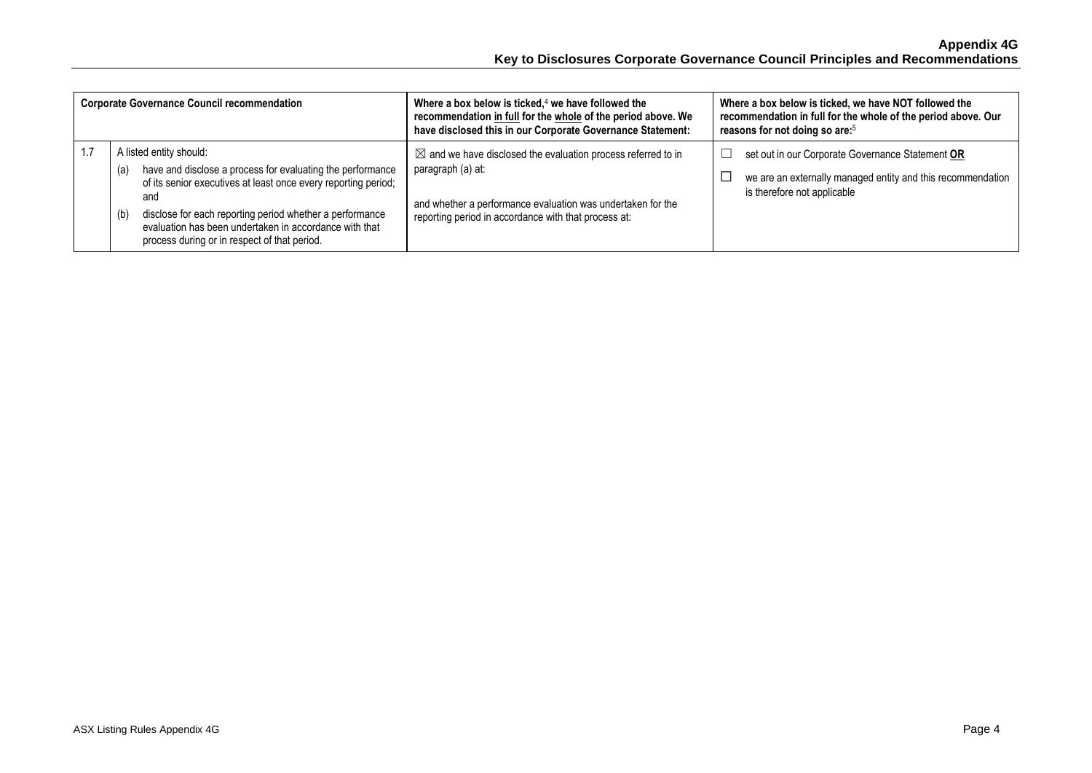| <b>Corporate Governance Council recommendation</b> |                                                                                                                                                                                                                                                                                                                                                    | Where a box below is ticked, $4$ we have followed the<br>recommendation in full for the whole of the period above. We<br>have disclosed this in our Corporate Governance Statement:                                 | Where a box below is ticked, we have NOT followed the<br>recommendation in full for the whole of the period above. Our<br>reasons for not doing so are: <sup>5</sup> |
|----------------------------------------------------|----------------------------------------------------------------------------------------------------------------------------------------------------------------------------------------------------------------------------------------------------------------------------------------------------------------------------------------------------|---------------------------------------------------------------------------------------------------------------------------------------------------------------------------------------------------------------------|----------------------------------------------------------------------------------------------------------------------------------------------------------------------|
|                                                    | A listed entity should:<br>have and disclose a process for evaluating the performance<br>(a)<br>of its senior executives at least once every reporting period;<br>and<br>disclose for each reporting period whether a performance<br>(b)<br>evaluation has been undertaken in accordance with that<br>process during or in respect of that period. | $\boxtimes$ and we have disclosed the evaluation process referred to in<br>paragraph (a) at:<br>and whether a performance evaluation was undertaken for the<br>reporting period in accordance with that process at: | set out in our Corporate Governance Statement OR<br>we are an externally managed entity and this recommendation<br>is therefore not applicable                       |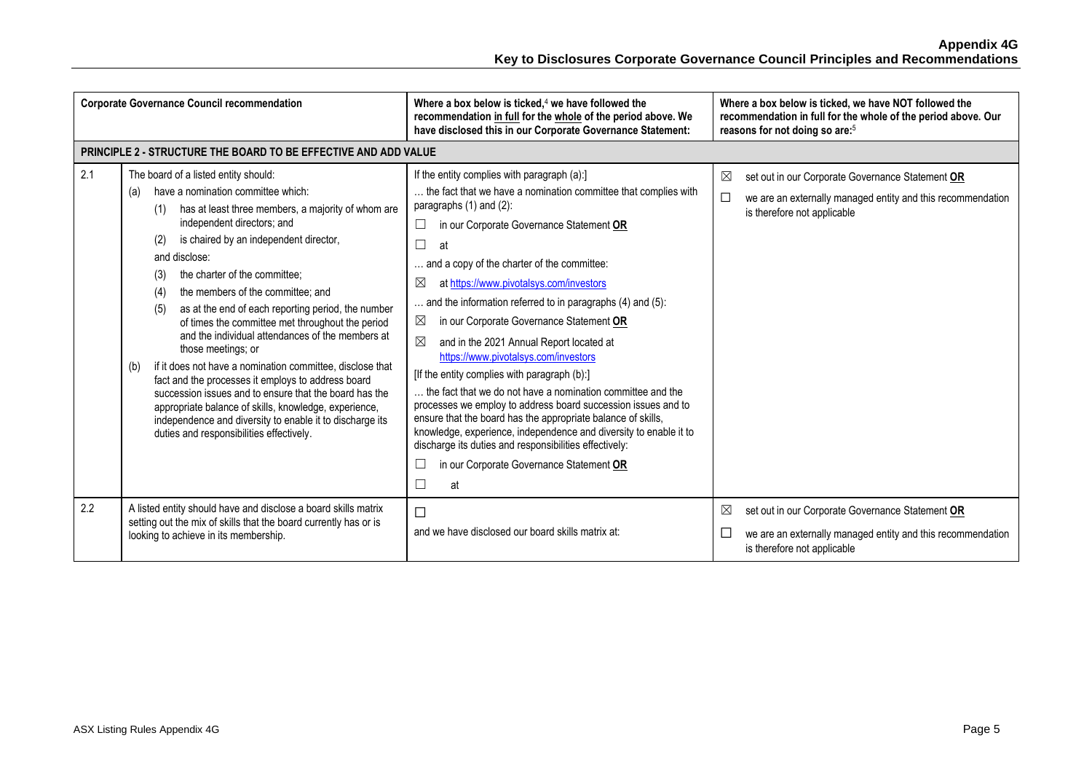| <b>Corporate Governance Council recommendation</b>                                                                                                                                 |                                                                                                                                                                                                                                                                                                                                                                                                                                                                                                                                                                                                                                                                                                                                                                                                                                                                                    | Where a box below is ticked, $4$ we have followed the<br>Where a box below is ticked, we have NOT followed the<br>recommendation in full for the whole of the period above. We<br>recommendation in full for the whole of the period above. Our<br>have disclosed this in our Corporate Governance Statement:<br>reasons for not doing so are: <sup>5</sup>                                                                                                                                                                                                                                                                                                                                                                                                                                                                                                                                                                                                                                                    |                                                                                                                                                                         |
|------------------------------------------------------------------------------------------------------------------------------------------------------------------------------------|------------------------------------------------------------------------------------------------------------------------------------------------------------------------------------------------------------------------------------------------------------------------------------------------------------------------------------------------------------------------------------------------------------------------------------------------------------------------------------------------------------------------------------------------------------------------------------------------------------------------------------------------------------------------------------------------------------------------------------------------------------------------------------------------------------------------------------------------------------------------------------|----------------------------------------------------------------------------------------------------------------------------------------------------------------------------------------------------------------------------------------------------------------------------------------------------------------------------------------------------------------------------------------------------------------------------------------------------------------------------------------------------------------------------------------------------------------------------------------------------------------------------------------------------------------------------------------------------------------------------------------------------------------------------------------------------------------------------------------------------------------------------------------------------------------------------------------------------------------------------------------------------------------|-------------------------------------------------------------------------------------------------------------------------------------------------------------------------|
|                                                                                                                                                                                    | <b>PRINCIPLE 2 - STRUCTURE THE BOARD TO BE EFFECTIVE AND ADD VALUE</b>                                                                                                                                                                                                                                                                                                                                                                                                                                                                                                                                                                                                                                                                                                                                                                                                             |                                                                                                                                                                                                                                                                                                                                                                                                                                                                                                                                                                                                                                                                                                                                                                                                                                                                                                                                                                                                                |                                                                                                                                                                         |
| 2.1                                                                                                                                                                                | The board of a listed entity should:<br>have a nomination committee which:<br>(a)<br>has at least three members, a majority of whom are<br>(1)<br>independent directors; and<br>is chaired by an independent director,<br>(2)<br>and disclose:<br>the charter of the committee:<br>(3)<br>the members of the committee; and<br>(4)<br>as at the end of each reporting period, the number<br>(5)<br>of times the committee met throughout the period<br>and the individual attendances of the members at<br>those meetings; or<br>if it does not have a nomination committee, disclose that<br>(b)<br>fact and the processes it employs to address board<br>succession issues and to ensure that the board has the<br>appropriate balance of skills, knowledge, experience,<br>independence and diversity to enable it to discharge its<br>duties and responsibilities effectively. | If the entity complies with paragraph (a):]<br>the fact that we have a nomination committee that complies with<br>paragraphs (1) and (2):<br>in our Corporate Governance Statement OR<br>ப<br>$\sqcup$<br>at<br>and a copy of the charter of the committee:<br>$\boxtimes$<br>at https://www.pivotalsys.com/investors<br>and the information referred to in paragraphs (4) and (5):<br>in our Corporate Governance Statement OR<br>$\boxtimes$<br>$\boxtimes$<br>and in the 2021 Annual Report located at<br>https://www.pivotalsys.com/investors<br>[If the entity complies with paragraph (b):]<br>the fact that we do not have a nomination committee and the<br>processes we employ to address board succession issues and to<br>ensure that the board has the appropriate balance of skills,<br>knowledge, experience, independence and diversity to enable it to<br>discharge its duties and responsibilities effectively:<br>in our Corporate Governance Statement OR<br>$\overline{\phantom{a}}$<br>at | ⊠<br>set out in our Corporate Governance Statement OR<br>$\Box$<br>we are an externally managed entity and this recommendation<br>is therefore not applicable           |
| 2.2<br>A listed entity should have and disclose a board skills matrix<br>setting out the mix of skills that the board currently has or is<br>looking to achieve in its membership. |                                                                                                                                                                                                                                                                                                                                                                                                                                                                                                                                                                                                                                                                                                                                                                                                                                                                                    | □<br>and we have disclosed our board skills matrix at:                                                                                                                                                                                                                                                                                                                                                                                                                                                                                                                                                                                                                                                                                                                                                                                                                                                                                                                                                         | $\boxtimes$<br>set out in our Corporate Governance Statement OR<br>$\Box$<br>we are an externally managed entity and this recommendation<br>is therefore not applicable |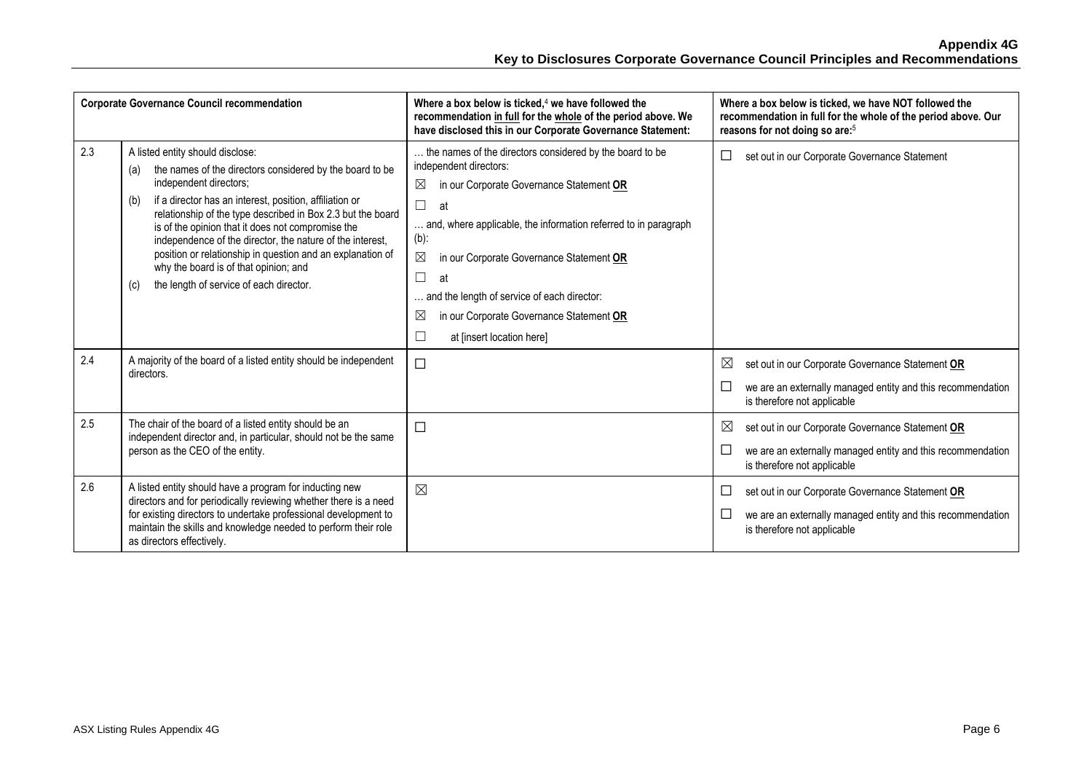| <b>Corporate Governance Council recommendation</b> |                                                                                                                                                                                                                                                                                                                                                                                                                                                                                                                                           | Where a box below is ticked, $4$ we have followed the<br>recommendation in full for the whole of the period above. We<br>have disclosed this in our Corporate Governance Statement:                                                                                                                                                                                                                                                    | Where a box below is ticked, we have NOT followed the<br>recommendation in full for the whole of the period above. Our<br>reasons for not doing so are: <sup>5</sup>    |
|----------------------------------------------------|-------------------------------------------------------------------------------------------------------------------------------------------------------------------------------------------------------------------------------------------------------------------------------------------------------------------------------------------------------------------------------------------------------------------------------------------------------------------------------------------------------------------------------------------|----------------------------------------------------------------------------------------------------------------------------------------------------------------------------------------------------------------------------------------------------------------------------------------------------------------------------------------------------------------------------------------------------------------------------------------|-------------------------------------------------------------------------------------------------------------------------------------------------------------------------|
| 2.3                                                | A listed entity should disclose:<br>the names of the directors considered by the board to be<br>(a)<br>independent directors;<br>if a director has an interest, position, affiliation or<br>(b)<br>relationship of the type described in Box 2.3 but the board<br>is of the opinion that it does not compromise the<br>independence of the director, the nature of the interest,<br>position or relationship in question and an explanation of<br>why the board is of that opinion; and<br>the length of service of each director.<br>(c) | the names of the directors considered by the board to be<br>independent directors:<br>⊠<br>in our Corporate Governance Statement OR<br>$\Box$<br>at<br>and, where applicable, the information referred to in paragraph<br>$(b)$ :<br>⊠<br>in our Corporate Governance Statement OR<br>$\Box$<br>at<br>. and the length of service of each director:<br>⊠<br>in our Corporate Governance Statement OR<br>⊏<br>at linsert location here] | $\Box$<br>set out in our Corporate Governance Statement                                                                                                                 |
| 2.4                                                | A majority of the board of a listed entity should be independent<br>directors.                                                                                                                                                                                                                                                                                                                                                                                                                                                            | $\Box$                                                                                                                                                                                                                                                                                                                                                                                                                                 | $\boxtimes$<br>set out in our Corporate Governance Statement OR<br>$\Box$<br>we are an externally managed entity and this recommendation<br>is therefore not applicable |
| 2.5                                                | The chair of the board of a listed entity should be an<br>independent director and, in particular, should not be the same<br>person as the CEO of the entity.                                                                                                                                                                                                                                                                                                                                                                             | $\Box$                                                                                                                                                                                                                                                                                                                                                                                                                                 | ⊠<br>set out in our Corporate Governance Statement OR<br>$\Box$<br>we are an externally managed entity and this recommendation<br>is therefore not applicable           |
| 2.6                                                | A listed entity should have a program for inducting new<br>directors and for periodically reviewing whether there is a need<br>for existing directors to undertake professional development to<br>maintain the skills and knowledge needed to perform their role<br>as directors effectively.                                                                                                                                                                                                                                             | $\boxtimes$                                                                                                                                                                                                                                                                                                                                                                                                                            | set out in our Corporate Governance Statement OR<br>$\Box$<br>$\Box$<br>we are an externally managed entity and this recommendation<br>is therefore not applicable      |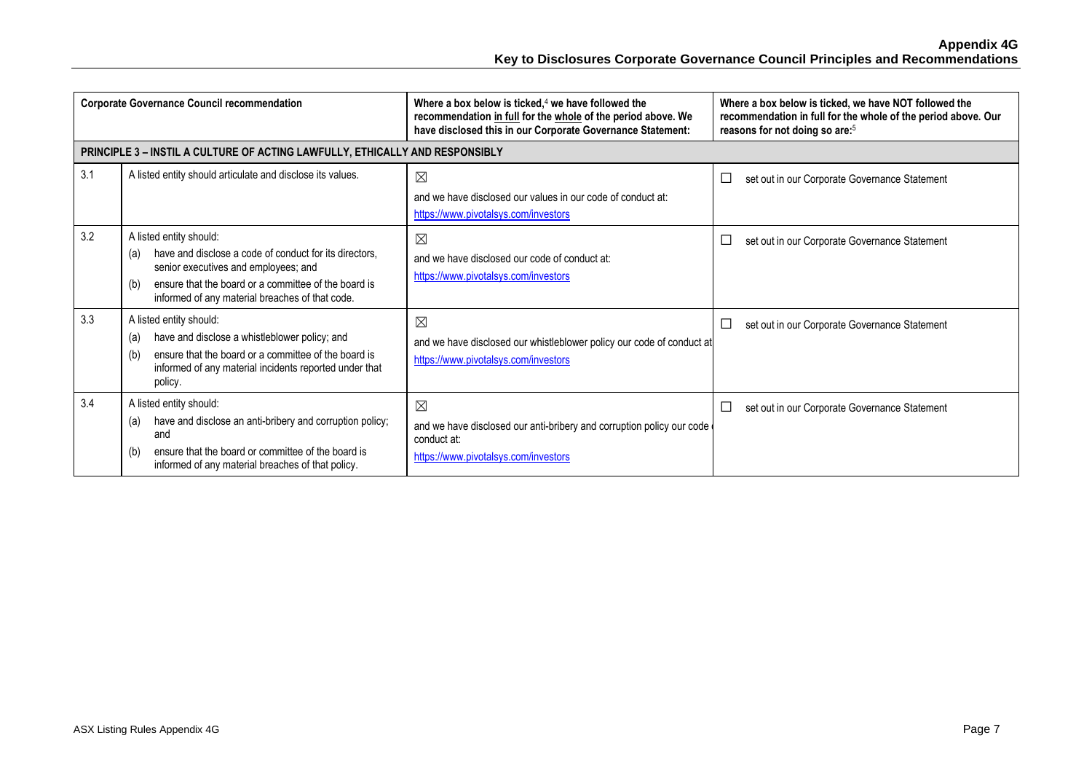**Appendix 4G Key to Disclosures Corporate Governance Council Principles and Recommendations**

| <b>Corporate Governance Council recommendation</b> |                                                                                                                                                                                                                                                    | Where a box below is ticked, $4$ we have followed the<br>recommendation in full for the whole of the period above. We<br>have disclosed this in our Corporate Governance Statement: | Where a box below is ticked, we have NOT followed the<br>recommendation in full for the whole of the period above. Our<br>reasons for not doing so are: <sup>5</sup> |
|----------------------------------------------------|----------------------------------------------------------------------------------------------------------------------------------------------------------------------------------------------------------------------------------------------------|-------------------------------------------------------------------------------------------------------------------------------------------------------------------------------------|----------------------------------------------------------------------------------------------------------------------------------------------------------------------|
|                                                    | PRINCIPLE 3 - INSTIL A CULTURE OF ACTING LAWFULLY, ETHICALLY AND RESPONSIBLY                                                                                                                                                                       |                                                                                                                                                                                     |                                                                                                                                                                      |
| 3.1                                                | A listed entity should articulate and disclose its values.                                                                                                                                                                                         | $\boxtimes$<br>and we have disclosed our values in our code of conduct at:<br>https://www.pivotalsys.com/investors                                                                  | $\Box$<br>set out in our Corporate Governance Statement                                                                                                              |
| 3.2                                                | A listed entity should:<br>have and disclose a code of conduct for its directors.<br>(a)<br>senior executives and employees; and<br>ensure that the board or a committee of the board is<br>(b)<br>informed of any material breaches of that code. | ⊠<br>and we have disclosed our code of conduct at:<br>https://www.pivotalsys.com/investors                                                                                          | $\Box$<br>set out in our Corporate Governance Statement                                                                                                              |
| 3.3                                                | A listed entity should:<br>have and disclose a whistleblower policy; and<br>(a)<br>ensure that the board or a committee of the board is<br>(b)<br>informed of any material incidents reported under that<br>policy.                                | $\boxtimes$<br>and we have disclosed our whistleblower policy our code of conduct at<br>https://www.pivotalsys.com/investors                                                        | $\Box$<br>set out in our Corporate Governance Statement                                                                                                              |
| 3.4                                                | A listed entity should:<br>have and disclose an anti-bribery and corruption policy;<br>(a)<br>and<br>ensure that the board or committee of the board is<br>(b)<br>informed of any material breaches of that policy.                                | $\boxtimes$<br>and we have disclosed our anti-bribery and corruption policy our code<br>conduct at:<br>https://www.pivotalsys.com/investors                                         | $\Box$<br>set out in our Corporate Governance Statement                                                                                                              |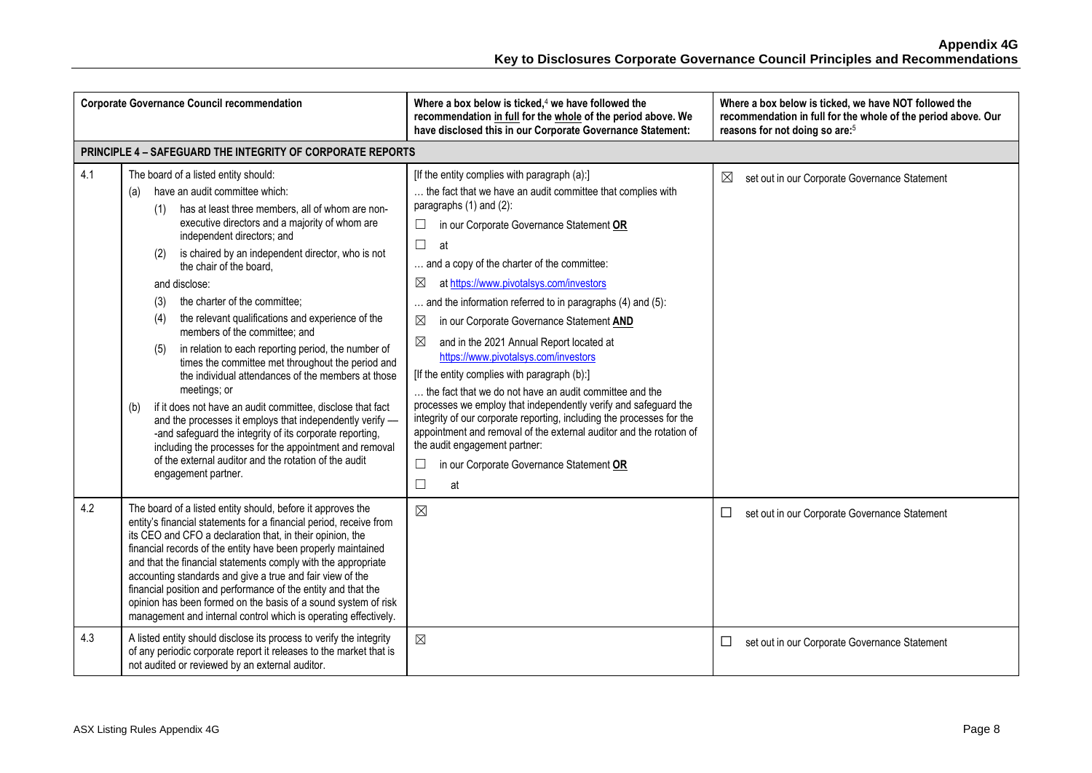|     | <b>Corporate Governance Council recommendation</b>                                                                                                                                                                                                                                                                                                                                                                                                                                                                                                                                                                                                                                                                                                                                                                                                                                                                                                                                                     | Where a box below is ticked, <sup>4</sup> we have followed the<br>recommendation in full for the whole of the period above. We<br>have disclosed this in our Corporate Governance Statement:                                                                                                                                                                                                                                                                                                                                                                                                                                                                                                                                                                                                                                                                                                                                                                        | Where a box below is ticked, we have NOT followed the<br>recommendation in full for the whole of the period above. Our<br>reasons for not doing so are: <sup>5</sup> |
|-----|--------------------------------------------------------------------------------------------------------------------------------------------------------------------------------------------------------------------------------------------------------------------------------------------------------------------------------------------------------------------------------------------------------------------------------------------------------------------------------------------------------------------------------------------------------------------------------------------------------------------------------------------------------------------------------------------------------------------------------------------------------------------------------------------------------------------------------------------------------------------------------------------------------------------------------------------------------------------------------------------------------|---------------------------------------------------------------------------------------------------------------------------------------------------------------------------------------------------------------------------------------------------------------------------------------------------------------------------------------------------------------------------------------------------------------------------------------------------------------------------------------------------------------------------------------------------------------------------------------------------------------------------------------------------------------------------------------------------------------------------------------------------------------------------------------------------------------------------------------------------------------------------------------------------------------------------------------------------------------------|----------------------------------------------------------------------------------------------------------------------------------------------------------------------|
|     | PRINCIPLE 4 - SAFEGUARD THE INTEGRITY OF CORPORATE REPORTS                                                                                                                                                                                                                                                                                                                                                                                                                                                                                                                                                                                                                                                                                                                                                                                                                                                                                                                                             |                                                                                                                                                                                                                                                                                                                                                                                                                                                                                                                                                                                                                                                                                                                                                                                                                                                                                                                                                                     |                                                                                                                                                                      |
| 4.1 | The board of a listed entity should:<br>have an audit committee which:<br>(a)<br>has at least three members, all of whom are non-<br>(1)<br>executive directors and a majority of whom are<br>independent directors; and<br>is chaired by an independent director, who is not<br>(2)<br>the chair of the board.<br>and disclose:<br>the charter of the committee;<br>(3)<br>the relevant qualifications and experience of the<br>(4)<br>members of the committee; and<br>in relation to each reporting period, the number of<br>(5)<br>times the committee met throughout the period and<br>the individual attendances of the members at those<br>meetings; or<br>if it does not have an audit committee, disclose that fact<br>(b)<br>and the processes it employs that independently verify -<br>-and safeguard the integrity of its corporate reporting,<br>including the processes for the appointment and removal<br>of the external auditor and the rotation of the audit<br>engagement partner. | [If the entity complies with paragraph (a):]<br>the fact that we have an audit committee that complies with<br>paragraphs (1) and (2):<br>in our Corporate Governance Statement OR<br>$\Box$<br>$\Box$<br>at<br>and a copy of the charter of the committee:<br>$\boxtimes$<br>at https://www.pivotalsys.com/investors<br>and the information referred to in paragraphs (4) and (5):<br>⊠<br>in our Corporate Governance Statement AND<br>⊠<br>and in the 2021 Annual Report located at<br>https://www.pivotalsys.com/investors<br>[If the entity complies with paragraph (b):]<br>the fact that we do not have an audit committee and the<br>processes we employ that independently verify and safeguard the<br>integrity of our corporate reporting, including the processes for the<br>appointment and removal of the external auditor and the rotation of<br>the audit engagement partner:<br>in our Corporate Governance Statement OR<br>$\Box$<br>$\Box$<br>at | ⊠<br>set out in our Corporate Governance Statement                                                                                                                   |
| 4.2 | The board of a listed entity should, before it approves the<br>entity's financial statements for a financial period, receive from<br>its CEO and CFO a declaration that, in their opinion, the<br>financial records of the entity have been properly maintained<br>and that the financial statements comply with the appropriate<br>accounting standards and give a true and fair view of the<br>financial position and performance of the entity and that the<br>opinion has been formed on the basis of a sound system of risk<br>management and internal control which is operating effectively.                                                                                                                                                                                                                                                                                                                                                                                                    | $\boxtimes$                                                                                                                                                                                                                                                                                                                                                                                                                                                                                                                                                                                                                                                                                                                                                                                                                                                                                                                                                         | set out in our Corporate Governance Statement                                                                                                                        |
| 4.3 | A listed entity should disclose its process to verify the integrity<br>of any periodic corporate report it releases to the market that is<br>not audited or reviewed by an external auditor.                                                                                                                                                                                                                                                                                                                                                                                                                                                                                                                                                                                                                                                                                                                                                                                                           | $\boxtimes$                                                                                                                                                                                                                                                                                                                                                                                                                                                                                                                                                                                                                                                                                                                                                                                                                                                                                                                                                         | set out in our Corporate Governance Statement<br>$\Box$                                                                                                              |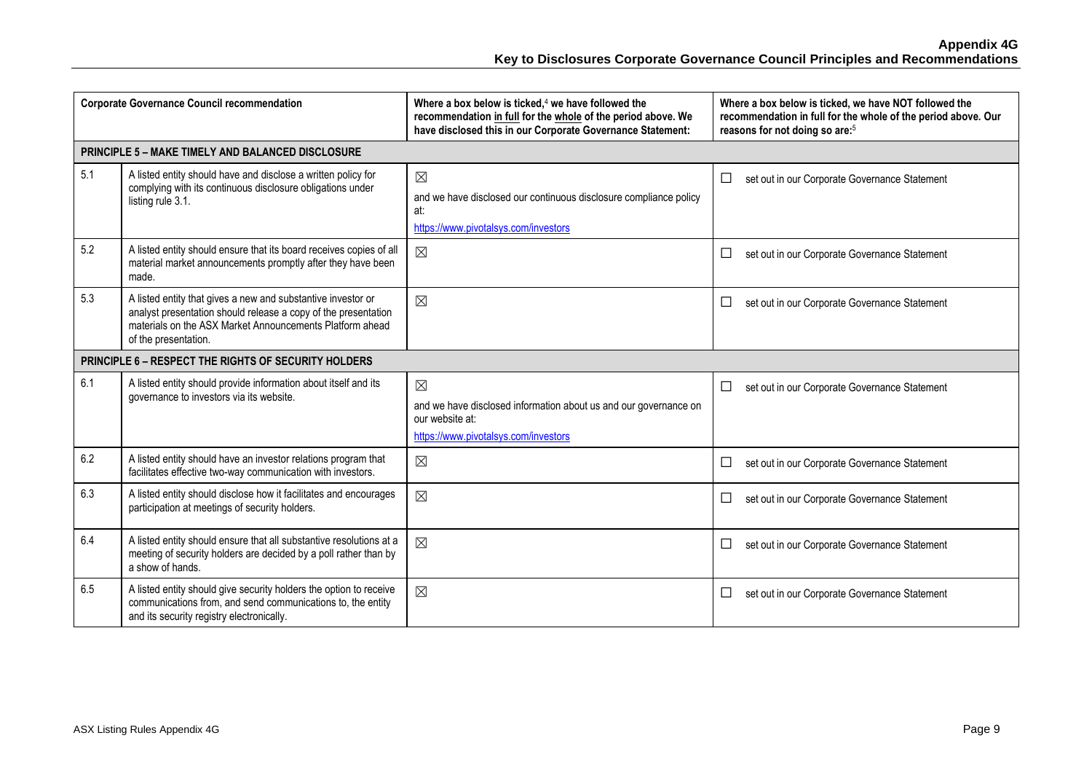|     | <b>Corporate Governance Council recommendation</b>                                                                                                                                                                 | Where a box below is ticked, $4$ we have followed the<br>recommendation in full for the whole of the period above. We<br>have disclosed this in our Corporate Governance Statement: | Where a box below is ticked, we have NOT followed the<br>recommendation in full for the whole of the period above. Our<br>reasons for not doing so are: <sup>5</sup> |
|-----|--------------------------------------------------------------------------------------------------------------------------------------------------------------------------------------------------------------------|-------------------------------------------------------------------------------------------------------------------------------------------------------------------------------------|----------------------------------------------------------------------------------------------------------------------------------------------------------------------|
|     | PRINCIPLE 5 - MAKE TIMELY AND BALANCED DISCLOSURE                                                                                                                                                                  |                                                                                                                                                                                     |                                                                                                                                                                      |
| 5.1 | A listed entity should have and disclose a written policy for<br>complying with its continuous disclosure obligations under<br>listing rule 3.1.                                                                   | $\boxtimes$<br>and we have disclosed our continuous disclosure compliance policy<br>at:<br>https://www.pivotalsys.com/investors                                                     | $\Box$<br>set out in our Corporate Governance Statement                                                                                                              |
| 5.2 | A listed entity should ensure that its board receives copies of all<br>material market announcements promptly after they have been<br>made.                                                                        | $\boxtimes$                                                                                                                                                                         | set out in our Corporate Governance Statement<br>$\Box$                                                                                                              |
| 5.3 | A listed entity that gives a new and substantive investor or<br>analyst presentation should release a copy of the presentation<br>materials on the ASX Market Announcements Platform ahead<br>of the presentation. | $\boxtimes$                                                                                                                                                                         | set out in our Corporate Governance Statement<br>$\Box$                                                                                                              |
|     | PRINCIPLE 6 - RESPECT THE RIGHTS OF SECURITY HOLDERS                                                                                                                                                               |                                                                                                                                                                                     |                                                                                                                                                                      |
| 6.1 | A listed entity should provide information about itself and its<br>governance to investors via its website.                                                                                                        | $\boxtimes$<br>and we have disclosed information about us and our governance on<br>our website at:<br>https://www.pivotalsys.com/investors                                          | $\Box$<br>set out in our Corporate Governance Statement                                                                                                              |
| 6.2 | A listed entity should have an investor relations program that<br>facilitates effective two-way communication with investors.                                                                                      | $\boxtimes$                                                                                                                                                                         | $\Box$<br>set out in our Corporate Governance Statement                                                                                                              |
| 6.3 | A listed entity should disclose how it facilitates and encourages<br>participation at meetings of security holders.                                                                                                | $\boxtimes$                                                                                                                                                                         | set out in our Corporate Governance Statement<br>⊔                                                                                                                   |
| 6.4 | A listed entity should ensure that all substantive resolutions at a<br>meeting of security holders are decided by a poll rather than by<br>a show of hands.                                                        | $\boxtimes$                                                                                                                                                                         | $\Box$<br>set out in our Corporate Governance Statement                                                                                                              |
| 6.5 | A listed entity should give security holders the option to receive<br>communications from, and send communications to, the entity<br>and its security registry electronically.                                     | $\boxtimes$                                                                                                                                                                         | $\Box$<br>set out in our Corporate Governance Statement                                                                                                              |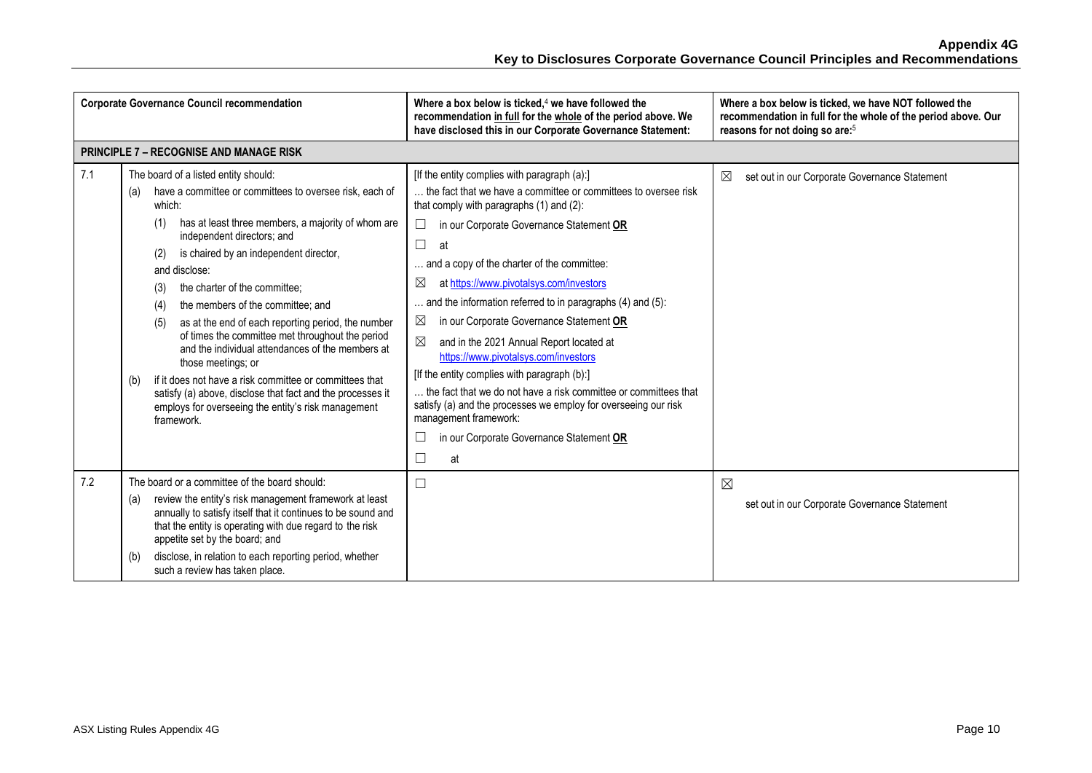| <b>Corporate Governance Council recommendation</b> |                                                                                                                                                                                                                                                                                                                                                                                                                                                                                                                                                                                                                                                                                                                                                                   | Where a box below is ticked, $4$ we have followed the<br>recommendation in full for the whole of the period above. We<br>have disclosed this in our Corporate Governance Statement:                                                                                                                                                                                                                                                                                                                                                                                                                                                                                                                                                                                                                                                   | Where a box below is ticked, we have NOT followed the<br>recommendation in full for the whole of the period above. Our<br>reasons for not doing so are: <sup>5</sup> |
|----------------------------------------------------|-------------------------------------------------------------------------------------------------------------------------------------------------------------------------------------------------------------------------------------------------------------------------------------------------------------------------------------------------------------------------------------------------------------------------------------------------------------------------------------------------------------------------------------------------------------------------------------------------------------------------------------------------------------------------------------------------------------------------------------------------------------------|---------------------------------------------------------------------------------------------------------------------------------------------------------------------------------------------------------------------------------------------------------------------------------------------------------------------------------------------------------------------------------------------------------------------------------------------------------------------------------------------------------------------------------------------------------------------------------------------------------------------------------------------------------------------------------------------------------------------------------------------------------------------------------------------------------------------------------------|----------------------------------------------------------------------------------------------------------------------------------------------------------------------|
|                                                    | <b>PRINCIPLE 7 - RECOGNISE AND MANAGE RISK</b>                                                                                                                                                                                                                                                                                                                                                                                                                                                                                                                                                                                                                                                                                                                    |                                                                                                                                                                                                                                                                                                                                                                                                                                                                                                                                                                                                                                                                                                                                                                                                                                       |                                                                                                                                                                      |
| 7.1                                                | The board of a listed entity should:<br>have a committee or committees to oversee risk, each of<br>(a)<br>which:<br>has at least three members, a majority of whom are<br>(1)<br>independent directors; and<br>is chaired by an independent director,<br>(2)<br>and disclose:<br>the charter of the committee:<br>(3)<br>the members of the committee; and<br>(4)<br>as at the end of each reporting period, the number<br>(5)<br>of times the committee met throughout the period<br>and the individual attendances of the members at<br>those meetings; or<br>if it does not have a risk committee or committees that<br>(b)<br>satisfy (a) above, disclose that fact and the processes it<br>employs for overseeing the entity's risk management<br>framework. | [If the entity complies with paragraph (a):]<br>the fact that we have a committee or committees to oversee risk<br>that comply with paragraphs (1) and (2):<br>in our Corporate Governance Statement OR<br>$\sqcup$<br>$\Box$<br>at<br>and a copy of the charter of the committee:<br>at https://www.pivotalsys.com/investors<br>$\boxtimes$<br>and the information referred to in paragraphs (4) and (5):<br>$\boxtimes$<br>in our Corporate Governance Statement OR<br>⊠<br>and in the 2021 Annual Report located at<br>https://www.pivotalsys.com/investors<br>[If the entity complies with paragraph (b):]<br>the fact that we do not have a risk committee or committees that<br>satisfy (a) and the processes we employ for overseeing our risk<br>management framework:<br>in our Corporate Governance Statement OR<br>⊑<br>at | ⊠<br>set out in our Corporate Governance Statement                                                                                                                   |
| 7.2                                                | The board or a committee of the board should:<br>review the entity's risk management framework at least<br>(a)<br>annually to satisfy itself that it continues to be sound and<br>that the entity is operating with due regard to the risk<br>appetite set by the board; and<br>disclose, in relation to each reporting period, whether<br>(b)<br>such a review has taken place.                                                                                                                                                                                                                                                                                                                                                                                  | $\Box$                                                                                                                                                                                                                                                                                                                                                                                                                                                                                                                                                                                                                                                                                                                                                                                                                                | $\boxtimes$<br>set out in our Corporate Governance Statement                                                                                                         |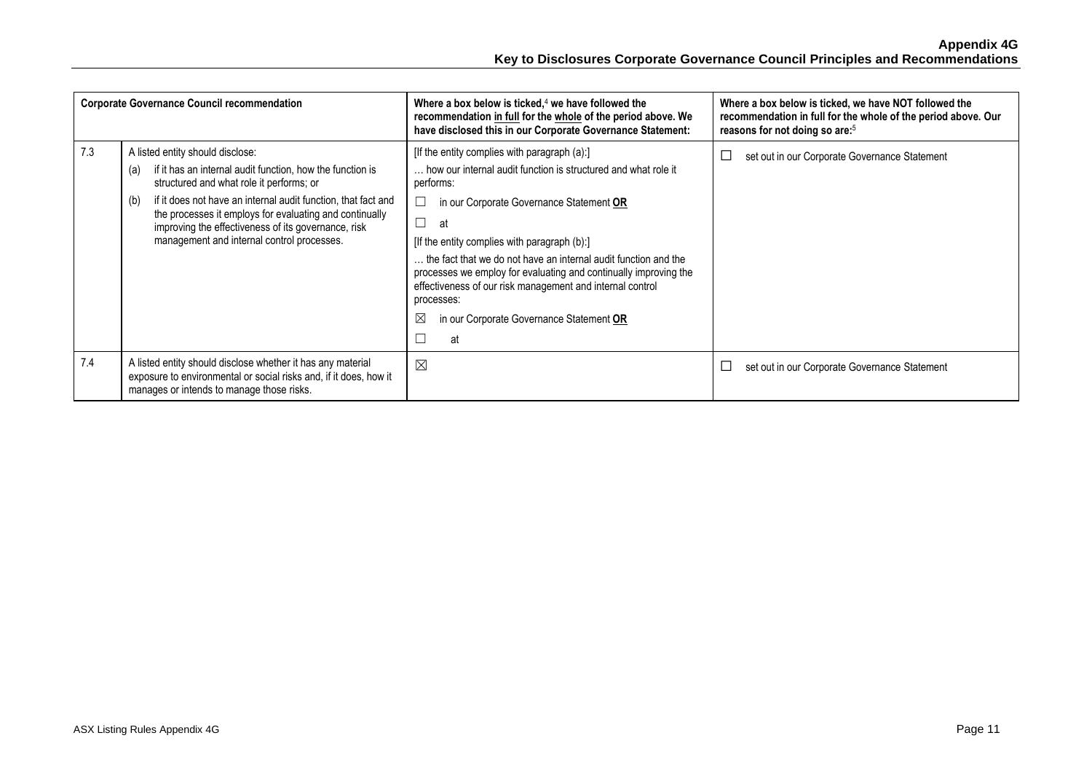| <b>Corporate Governance Council recommendation</b> |                                                                                                                                                                                                                                                                                                                                                                                          | Where a box below is ticked, $4$ we have followed the<br>recommendation in full for the whole of the period above. We<br>have disclosed this in our Corporate Governance Statement:                                                                                                                                                                                                                                                                                                                                      | Where a box below is ticked, we have NOT followed the<br>recommendation in full for the whole of the period above. Our<br>reasons for not doing so are: <sup>5</sup> |
|----------------------------------------------------|------------------------------------------------------------------------------------------------------------------------------------------------------------------------------------------------------------------------------------------------------------------------------------------------------------------------------------------------------------------------------------------|--------------------------------------------------------------------------------------------------------------------------------------------------------------------------------------------------------------------------------------------------------------------------------------------------------------------------------------------------------------------------------------------------------------------------------------------------------------------------------------------------------------------------|----------------------------------------------------------------------------------------------------------------------------------------------------------------------|
| 7.3                                                | A listed entity should disclose:<br>if it has an internal audit function, how the function is<br>(a)<br>structured and what role it performs; or<br>if it does not have an internal audit function, that fact and<br>(b)<br>the processes it employs for evaluating and continually<br>improving the effectiveness of its governance, risk<br>management and internal control processes. | [If the entity complies with paragraph (a):]<br>how our internal audit function is structured and what role it<br>performs:<br>in our Corporate Governance Statement OR<br>$\Box$<br>at<br>[If the entity complies with paragraph (b):]<br>the fact that we do not have an internal audit function and the<br>processes we employ for evaluating and continually improving the<br>effectiveness of our risk management and internal control<br>processes:<br>$\bowtie$<br>in our Corporate Governance Statement OR<br>at | ⊑<br>set out in our Corporate Governance Statement                                                                                                                   |
| 7.4                                                | A listed entity should disclose whether it has any material<br>exposure to environmental or social risks and, if it does, how it<br>manages or intends to manage those risks.                                                                                                                                                                                                            | $\boxtimes$                                                                                                                                                                                                                                                                                                                                                                                                                                                                                                              | ⊑<br>set out in our Corporate Governance Statement                                                                                                                   |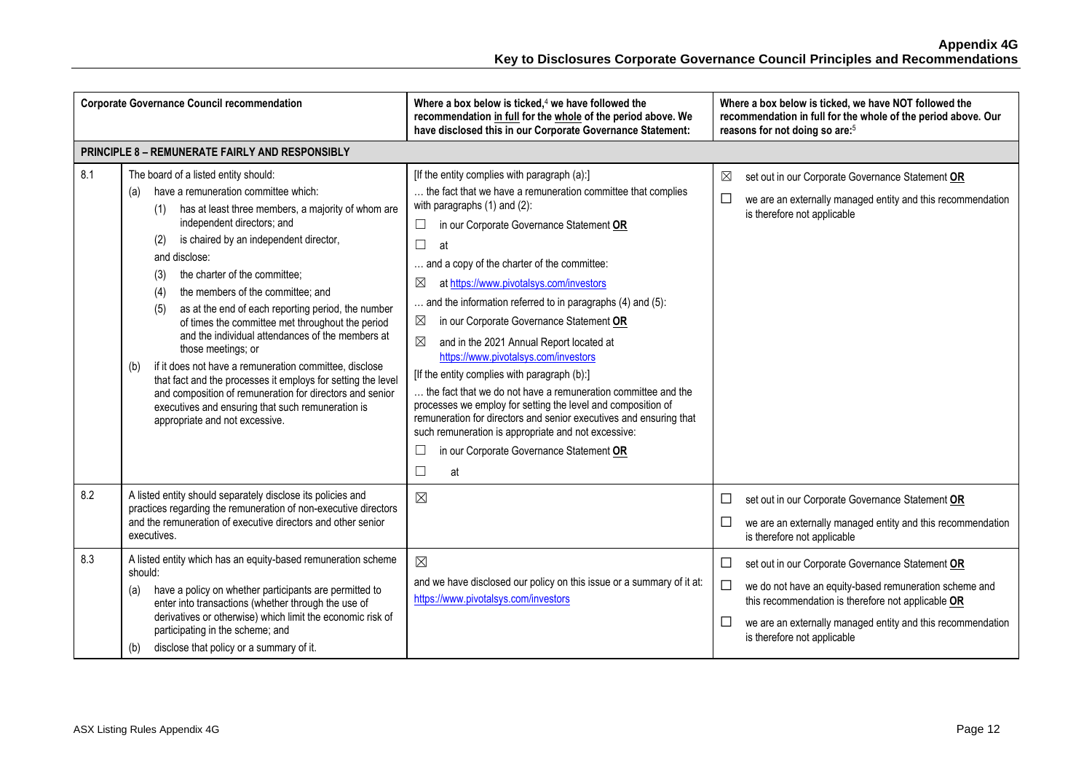| <b>Corporate Governance Council recommendation</b> |                                                                                                                                                                                                                                                                                                                                                                                                                                                                                                                                                                                                                                                                                                                                                                                                                     | Where a box below is ticked, $4$ we have followed the<br>recommendation in full for the whole of the period above. We<br>have disclosed this in our Corporate Governance Statement:                                                                                                                                                                                                                                                                                                                                                                                                                                                                                                                                                                                                                                                                                                                           | Where a box below is ticked, we have NOT followed the<br>recommendation in full for the whole of the period above. Our<br>reasons for not doing so are: <sup>5</sup>                                                                                                               |
|----------------------------------------------------|---------------------------------------------------------------------------------------------------------------------------------------------------------------------------------------------------------------------------------------------------------------------------------------------------------------------------------------------------------------------------------------------------------------------------------------------------------------------------------------------------------------------------------------------------------------------------------------------------------------------------------------------------------------------------------------------------------------------------------------------------------------------------------------------------------------------|---------------------------------------------------------------------------------------------------------------------------------------------------------------------------------------------------------------------------------------------------------------------------------------------------------------------------------------------------------------------------------------------------------------------------------------------------------------------------------------------------------------------------------------------------------------------------------------------------------------------------------------------------------------------------------------------------------------------------------------------------------------------------------------------------------------------------------------------------------------------------------------------------------------|------------------------------------------------------------------------------------------------------------------------------------------------------------------------------------------------------------------------------------------------------------------------------------|
|                                                    | <b>PRINCIPLE 8 - REMUNERATE FAIRLY AND RESPONSIBLY</b>                                                                                                                                                                                                                                                                                                                                                                                                                                                                                                                                                                                                                                                                                                                                                              |                                                                                                                                                                                                                                                                                                                                                                                                                                                                                                                                                                                                                                                                                                                                                                                                                                                                                                               |                                                                                                                                                                                                                                                                                    |
| 8.1                                                | The board of a listed entity should:<br>have a remuneration committee which:<br>(a)<br>has at least three members, a majority of whom are<br>(1)<br>independent directors; and<br>is chaired by an independent director,<br>(2)<br>and disclose:<br>the charter of the committee;<br>(3)<br>the members of the committee; and<br>(4)<br>as at the end of each reporting period, the number<br>(5)<br>of times the committee met throughout the period<br>and the individual attendances of the members at<br>those meetings; or<br>if it does not have a remuneration committee, disclose<br>(b)<br>that fact and the processes it employs for setting the level<br>and composition of remuneration for directors and senior<br>executives and ensuring that such remuneration is<br>appropriate and not excessive. | [If the entity complies with paragraph (a):]<br>the fact that we have a remuneration committee that complies<br>with paragraphs $(1)$ and $(2)$ :<br>in our Corporate Governance Statement OR<br>⊔<br>$\Box$<br>at<br>and a copy of the charter of the committee:<br>at https://www.pivotalsys.com/investors<br>⊠<br>and the information referred to in paragraphs (4) and (5):<br>in our Corporate Governance Statement OR<br>$\boxtimes$<br>⊠<br>and in the 2021 Annual Report located at<br>https://www.pivotalsys.com/investors<br>[If the entity complies with paragraph (b):]<br>the fact that we do not have a remuneration committee and the<br>processes we employ for setting the level and composition of<br>remuneration for directors and senior executives and ensuring that<br>such remuneration is appropriate and not excessive:<br>in our Corporate Governance Statement OR<br>at<br>$\Box$ | $\boxtimes$<br>set out in our Corporate Governance Statement OR<br>$\Box$<br>we are an externally managed entity and this recommendation<br>is therefore not applicable                                                                                                            |
| 8.2                                                | A listed entity should separately disclose its policies and<br>practices regarding the remuneration of non-executive directors<br>and the remuneration of executive directors and other senior<br>executives.                                                                                                                                                                                                                                                                                                                                                                                                                                                                                                                                                                                                       | $\boxtimes$                                                                                                                                                                                                                                                                                                                                                                                                                                                                                                                                                                                                                                                                                                                                                                                                                                                                                                   | □<br>set out in our Corporate Governance Statement OR<br>$\Box$<br>we are an externally managed entity and this recommendation<br>is therefore not applicable                                                                                                                      |
| 8.3                                                | A listed entity which has an equity-based remuneration scheme<br>should:<br>have a policy on whether participants are permitted to<br>(a)<br>enter into transactions (whether through the use of<br>derivatives or otherwise) which limit the economic risk of<br>participating in the scheme; and<br>disclose that policy or a summary of it.<br>(b)                                                                                                                                                                                                                                                                                                                                                                                                                                                               | $\boxtimes$<br>and we have disclosed our policy on this issue or a summary of it at:<br>https://www.pivotalsys.com/investors                                                                                                                                                                                                                                                                                                                                                                                                                                                                                                                                                                                                                                                                                                                                                                                  | □<br>set out in our Corporate Governance Statement OR<br>$\Box$<br>we do not have an equity-based remuneration scheme and<br>this recommendation is therefore not applicable OR<br>□<br>we are an externally managed entity and this recommendation<br>is therefore not applicable |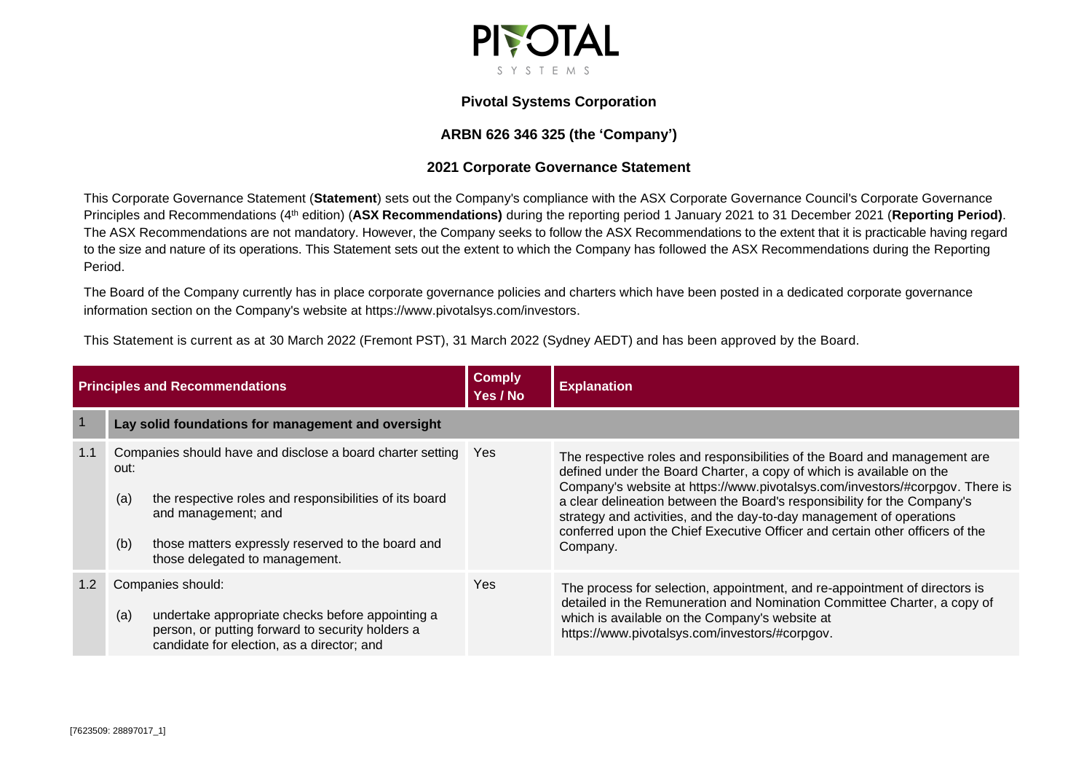

#### **Pivotal Systems Corporation**

# **ARBN 626 346 325 (the 'Company')**

### **2021 Corporate Governance Statement**

This Corporate Governance Statement (**Statement**) sets out the Company's compliance with the ASX Corporate Governance Council's Corporate Governance Principles and Recommendations (4<sup>th</sup> edition) (ASX Recommendations) during the reporting period 1 January 2021 to 31 December 2021 (Reporting Period). The ASX Recommendations are not mandatory. However, the Company seeks to follow the ASX Recommendations to the extent that it is practicable having regard to the size and nature of its operations. This Statement sets out the extent to which the Company has followed the ASX Recommendations during the Reporting Period.

The Board of the Company currently has in place corporate governance policies and charters which have been posted in a dedicated corporate governance information section on the Company's website at https://www.pivotalsys.com/investors.

This Statement is current as at 30 March 2022 (Fremont PST), 31 March 2022 (Sydney AEDT) and has been approved by the Board.

| <b>Principles and Recommendations</b> |                                                                                                                                                                                                                                                          | <b>Comply</b><br>Yes / No | <b>Explanation</b>                                                                                                                                                                                                                                                                                                                                                                                                                                                                |
|---------------------------------------|----------------------------------------------------------------------------------------------------------------------------------------------------------------------------------------------------------------------------------------------------------|---------------------------|-----------------------------------------------------------------------------------------------------------------------------------------------------------------------------------------------------------------------------------------------------------------------------------------------------------------------------------------------------------------------------------------------------------------------------------------------------------------------------------|
|                                       | Lay solid foundations for management and oversight                                                                                                                                                                                                       |                           |                                                                                                                                                                                                                                                                                                                                                                                                                                                                                   |
| 1.1                                   | Companies should have and disclose a board charter setting<br>out:<br>the respective roles and responsibilities of its board<br>(a)<br>and management; and<br>those matters expressly reserved to the board and<br>(b)<br>those delegated to management. | <b>Yes</b>                | The respective roles and responsibilities of the Board and management are<br>defined under the Board Charter, a copy of which is available on the<br>Company's website at https://www.pivotalsys.com/investors/#corpgov. There is<br>a clear delineation between the Board's responsibility for the Company's<br>strategy and activities, and the day-to-day management of operations<br>conferred upon the Chief Executive Officer and certain other officers of the<br>Company. |
|                                       | Companies should:<br>(a)<br>undertake appropriate checks before appointing a<br>person, or putting forward to security holders a<br>candidate for election, as a director; and                                                                           | Yes                       | The process for selection, appointment, and re-appointment of directors is<br>detailed in the Remuneration and Nomination Committee Charter, a copy of<br>which is available on the Company's website at<br>https://www.pivotalsys.com/investors/#corpgov.                                                                                                                                                                                                                        |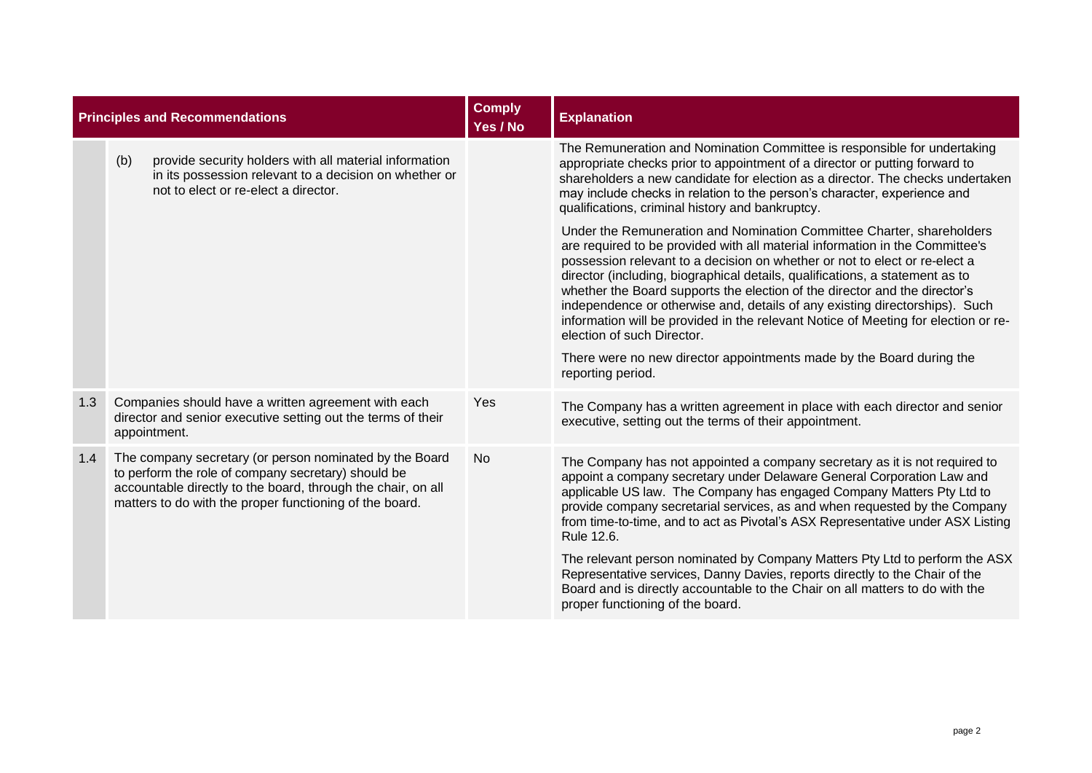| <b>Principles and Recommendations</b> |     |                                                                                                                                                                                                                                           | <b>Comply</b><br>Yes / No | <b>Explanation</b>                                                                                                                                                                                                                                                                                                                                                                                                                                                                                                                                                                                                                                                                                |
|---------------------------------------|-----|-------------------------------------------------------------------------------------------------------------------------------------------------------------------------------------------------------------------------------------------|---------------------------|---------------------------------------------------------------------------------------------------------------------------------------------------------------------------------------------------------------------------------------------------------------------------------------------------------------------------------------------------------------------------------------------------------------------------------------------------------------------------------------------------------------------------------------------------------------------------------------------------------------------------------------------------------------------------------------------------|
|                                       | (b) | provide security holders with all material information<br>in its possession relevant to a decision on whether or<br>not to elect or re-elect a director.                                                                                  |                           | The Remuneration and Nomination Committee is responsible for undertaking<br>appropriate checks prior to appointment of a director or putting forward to<br>shareholders a new candidate for election as a director. The checks undertaken<br>may include checks in relation to the person's character, experience and<br>qualifications, criminal history and bankruptcy.                                                                                                                                                                                                                                                                                                                         |
|                                       |     |                                                                                                                                                                                                                                           |                           | Under the Remuneration and Nomination Committee Charter, shareholders<br>are required to be provided with all material information in the Committee's<br>possession relevant to a decision on whether or not to elect or re-elect a<br>director (including, biographical details, qualifications, a statement as to<br>whether the Board supports the election of the director and the director's<br>independence or otherwise and, details of any existing directorships). Such<br>information will be provided in the relevant Notice of Meeting for election or re-<br>election of such Director.<br>There were no new director appointments made by the Board during the<br>reporting period. |
| 1.3                                   |     | Companies should have a written agreement with each<br>director and senior executive setting out the terms of their<br>appointment.                                                                                                       | Yes                       | The Company has a written agreement in place with each director and senior<br>executive, setting out the terms of their appointment.                                                                                                                                                                                                                                                                                                                                                                                                                                                                                                                                                              |
| 1.4                                   |     | The company secretary (or person nominated by the Board<br>to perform the role of company secretary) should be<br>accountable directly to the board, through the chair, on all<br>matters to do with the proper functioning of the board. | <b>No</b>                 | The Company has not appointed a company secretary as it is not required to<br>appoint a company secretary under Delaware General Corporation Law and<br>applicable US law. The Company has engaged Company Matters Pty Ltd to<br>provide company secretarial services, as and when requested by the Company<br>from time-to-time, and to act as Pivotal's ASX Representative under ASX Listing<br>Rule 12.6.                                                                                                                                                                                                                                                                                      |
|                                       |     |                                                                                                                                                                                                                                           |                           | The relevant person nominated by Company Matters Pty Ltd to perform the ASX<br>Representative services, Danny Davies, reports directly to the Chair of the<br>Board and is directly accountable to the Chair on all matters to do with the<br>proper functioning of the board.                                                                                                                                                                                                                                                                                                                                                                                                                    |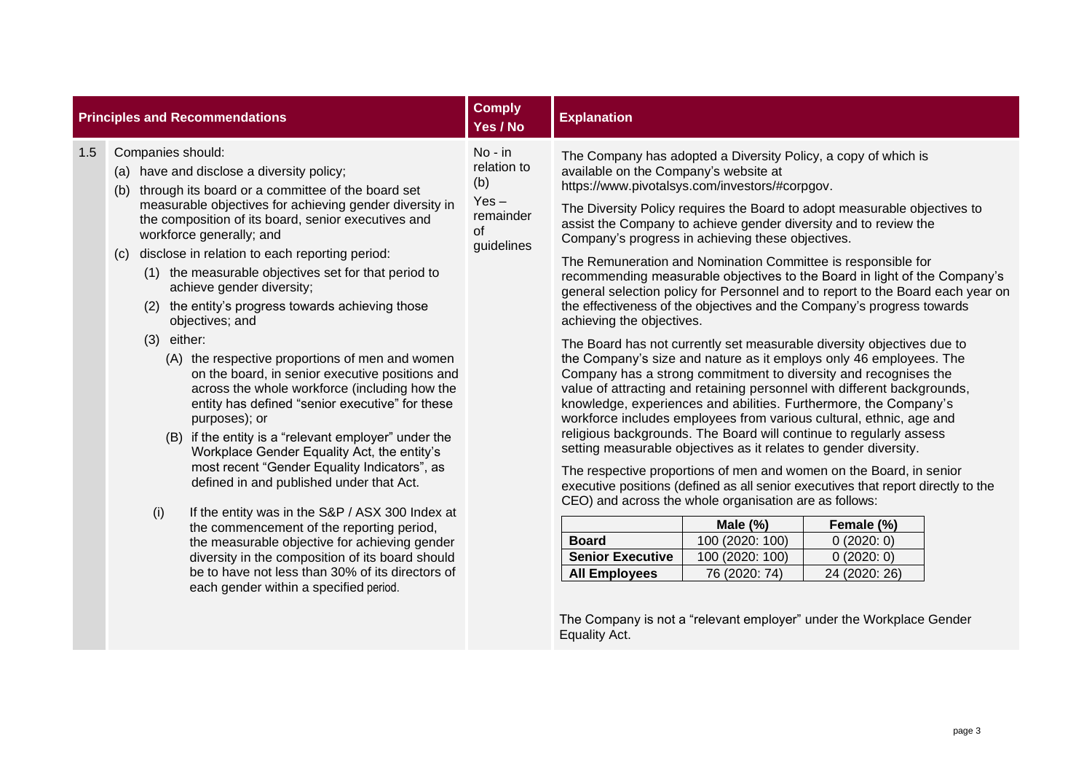|     | <b>Principles and Recommendations</b>                                                                                                                                                                                                                                                                                                                                                                                                                                                                                                                                                                                                                                                                                                                                                                                                                                                                                                                                                                                                                                                                                                                                                                                                                   | <b>Comply</b><br>Yes / No                                                            | <b>Explanation</b>                                                                                                                                                                                                                                                                                                                                                                                                                                                                                                                                                                                                                                                                                                                                                                                                                                                                                                                                                                                                                                                                                                                                                                                                                                                                                                                                                                                                                                                                                                                                                                                                                                       |                                                                    |                                                       |  |  |
|-----|---------------------------------------------------------------------------------------------------------------------------------------------------------------------------------------------------------------------------------------------------------------------------------------------------------------------------------------------------------------------------------------------------------------------------------------------------------------------------------------------------------------------------------------------------------------------------------------------------------------------------------------------------------------------------------------------------------------------------------------------------------------------------------------------------------------------------------------------------------------------------------------------------------------------------------------------------------------------------------------------------------------------------------------------------------------------------------------------------------------------------------------------------------------------------------------------------------------------------------------------------------|--------------------------------------------------------------------------------------|----------------------------------------------------------------------------------------------------------------------------------------------------------------------------------------------------------------------------------------------------------------------------------------------------------------------------------------------------------------------------------------------------------------------------------------------------------------------------------------------------------------------------------------------------------------------------------------------------------------------------------------------------------------------------------------------------------------------------------------------------------------------------------------------------------------------------------------------------------------------------------------------------------------------------------------------------------------------------------------------------------------------------------------------------------------------------------------------------------------------------------------------------------------------------------------------------------------------------------------------------------------------------------------------------------------------------------------------------------------------------------------------------------------------------------------------------------------------------------------------------------------------------------------------------------------------------------------------------------------------------------------------------------|--------------------------------------------------------------------|-------------------------------------------------------|--|--|
| 1.5 | Companies should:<br>(a) have and disclose a diversity policy;<br>through its board or a committee of the board set<br>(b)<br>measurable objectives for achieving gender diversity in<br>the composition of its board, senior executives and<br>workforce generally; and<br>disclose in relation to each reporting period:<br>(c)<br>(1) the measurable objectives set for that period to<br>achieve gender diversity;<br>(2) the entity's progress towards achieving those<br>objectives; and<br>$(3)$ either:<br>(A) the respective proportions of men and women<br>on the board, in senior executive positions and<br>across the whole workforce (including how the<br>entity has defined "senior executive" for these<br>purposes); or<br>(B) if the entity is a "relevant employer" under the<br>Workplace Gender Equality Act, the entity's<br>most recent "Gender Equality Indicators", as<br>defined in and published under that Act.<br>(i)<br>If the entity was in the S&P / ASX 300 Index at<br>the commencement of the reporting period,<br>the measurable objective for achieving gender<br>diversity in the composition of its board should<br>be to have not less than 30% of its directors of<br>each gender within a specified period. | No - in<br>relation to<br>(b)<br>$Yes -$<br>remainder<br><sub>of</sub><br>guidelines | The Company has adopted a Diversity Policy, a copy of which is<br>available on the Company's website at<br>https://www.pivotalsys.com/investors/#corpgov.<br>The Diversity Policy requires the Board to adopt measurable objectives to<br>assist the Company to achieve gender diversity and to review the<br>Company's progress in achieving these objectives.<br>The Remuneration and Nomination Committee is responsible for<br>recommending measurable objectives to the Board in light of the Company's<br>general selection policy for Personnel and to report to the Board each year on<br>the effectiveness of the objectives and the Company's progress towards<br>achieving the objectives.<br>The Board has not currently set measurable diversity objectives due to<br>the Company's size and nature as it employs only 46 employees. The<br>Company has a strong commitment to diversity and recognises the<br>value of attracting and retaining personnel with different backgrounds,<br>knowledge, experiences and abilities. Furthermore, the Company's<br>workforce includes employees from various cultural, ethnic, age and<br>religious backgrounds. The Board will continue to regularly assess<br>setting measurable objectives as it relates to gender diversity.<br>The respective proportions of men and women on the Board, in senior<br>executive positions (defined as all senior executives that report directly to the<br>CEO) and across the whole organisation are as follows:<br><b>Board</b><br><b>Senior Executive</b><br><b>All Employees</b><br>The Company is not a "relevant employer" under the Workplace Gender | Male $(\%)$<br>100 (2020: 100)<br>100 (2020: 100)<br>76 (2020: 74) | Female (%)<br>0(2020:0)<br>0(2020:0)<br>24 (2020: 26) |  |  |
|     |                                                                                                                                                                                                                                                                                                                                                                                                                                                                                                                                                                                                                                                                                                                                                                                                                                                                                                                                                                                                                                                                                                                                                                                                                                                         |                                                                                      | Equality Act.                                                                                                                                                                                                                                                                                                                                                                                                                                                                                                                                                                                                                                                                                                                                                                                                                                                                                                                                                                                                                                                                                                                                                                                                                                                                                                                                                                                                                                                                                                                                                                                                                                            |                                                                    |                                                       |  |  |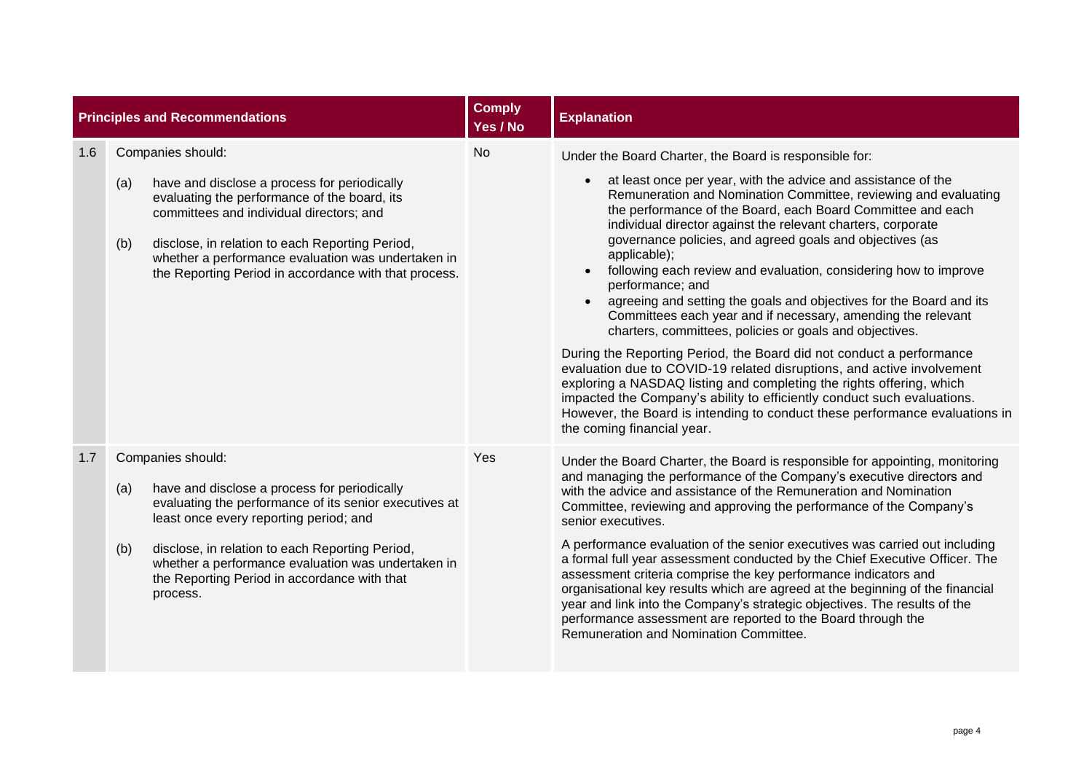|     | <b>Principles and Recommendations</b>       |                                                                                                                                                                                                                                                                                                            | <b>Comply</b><br>Yes / No | <b>Explanation</b>                                                                                                                                                                                                                                                                                                                                                                                                                                                                                                                                                                                                                                                                                                                                                                                                                                                                                                                                                                                                                                                                                                |
|-----|---------------------------------------------|------------------------------------------------------------------------------------------------------------------------------------------------------------------------------------------------------------------------------------------------------------------------------------------------------------|---------------------------|-------------------------------------------------------------------------------------------------------------------------------------------------------------------------------------------------------------------------------------------------------------------------------------------------------------------------------------------------------------------------------------------------------------------------------------------------------------------------------------------------------------------------------------------------------------------------------------------------------------------------------------------------------------------------------------------------------------------------------------------------------------------------------------------------------------------------------------------------------------------------------------------------------------------------------------------------------------------------------------------------------------------------------------------------------------------------------------------------------------------|
| 1.6 | Companies should:<br>(a)<br>(b)             | have and disclose a process for periodically<br>evaluating the performance of the board, its<br>committees and individual directors; and<br>disclose, in relation to each Reporting Period,<br>whether a performance evaluation was undertaken in<br>the Reporting Period in accordance with that process. | <b>No</b>                 | Under the Board Charter, the Board is responsible for:<br>at least once per year, with the advice and assistance of the<br>Remuneration and Nomination Committee, reviewing and evaluating<br>the performance of the Board, each Board Committee and each<br>individual director against the relevant charters, corporate<br>governance policies, and agreed goals and objectives (as<br>applicable);<br>following each review and evaluation, considering how to improve<br>performance; and<br>agreeing and setting the goals and objectives for the Board and its<br>Committees each year and if necessary, amending the relevant<br>charters, committees, policies or goals and objectives.<br>During the Reporting Period, the Board did not conduct a performance<br>evaluation due to COVID-19 related disruptions, and active involvement<br>exploring a NASDAQ listing and completing the rights offering, which<br>impacted the Company's ability to efficiently conduct such evaluations.<br>However, the Board is intending to conduct these performance evaluations in<br>the coming financial year. |
| 1.7 | Companies should:<br>(a)<br>(b)<br>process. | have and disclose a process for periodically<br>evaluating the performance of its senior executives at<br>least once every reporting period; and<br>disclose, in relation to each Reporting Period,<br>whether a performance evaluation was undertaken in<br>the Reporting Period in accordance with that  | Yes                       | Under the Board Charter, the Board is responsible for appointing, monitoring<br>and managing the performance of the Company's executive directors and<br>with the advice and assistance of the Remuneration and Nomination<br>Committee, reviewing and approving the performance of the Company's<br>senior executives.<br>A performance evaluation of the senior executives was carried out including<br>a formal full year assessment conducted by the Chief Executive Officer. The<br>assessment criteria comprise the key performance indicators and<br>organisational key results which are agreed at the beginning of the financial<br>year and link into the Company's strategic objectives. The results of the<br>performance assessment are reported to the Board through the<br>Remuneration and Nomination Committee.                                                                                                                                                                                                                                                                                  |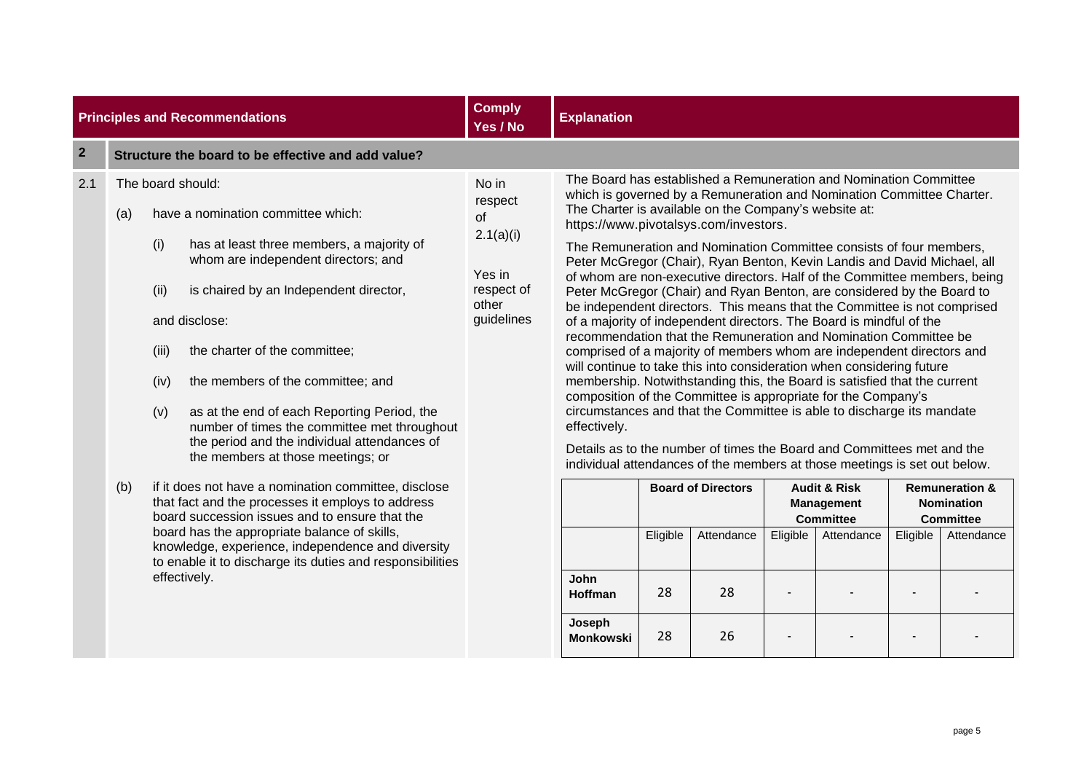|                | <b>Principles and Recommendations</b>                                                                                                                                                                                                                                                                                                                                                                                                                                                                                                                                                                                                                                                                                                                                                                                                                                  | <b>Comply</b><br>Yes / No                                                                 | <b>Explanation</b>                                                                                                                                                                                                                                                                                                                                                                                                                                                                                                                                                                                                                                                                                                                                                                                                                                            |                      |                                                                                                                                                                                                                                                                                                                                                                                                                                                                                                                                                                      |          |                                                                                |          |                                                                                  |
|----------------|------------------------------------------------------------------------------------------------------------------------------------------------------------------------------------------------------------------------------------------------------------------------------------------------------------------------------------------------------------------------------------------------------------------------------------------------------------------------------------------------------------------------------------------------------------------------------------------------------------------------------------------------------------------------------------------------------------------------------------------------------------------------------------------------------------------------------------------------------------------------|-------------------------------------------------------------------------------------------|---------------------------------------------------------------------------------------------------------------------------------------------------------------------------------------------------------------------------------------------------------------------------------------------------------------------------------------------------------------------------------------------------------------------------------------------------------------------------------------------------------------------------------------------------------------------------------------------------------------------------------------------------------------------------------------------------------------------------------------------------------------------------------------------------------------------------------------------------------------|----------------------|----------------------------------------------------------------------------------------------------------------------------------------------------------------------------------------------------------------------------------------------------------------------------------------------------------------------------------------------------------------------------------------------------------------------------------------------------------------------------------------------------------------------------------------------------------------------|----------|--------------------------------------------------------------------------------|----------|----------------------------------------------------------------------------------|
| $\overline{2}$ | Structure the board to be effective and add value?                                                                                                                                                                                                                                                                                                                                                                                                                                                                                                                                                                                                                                                                                                                                                                                                                     |                                                                                           |                                                                                                                                                                                                                                                                                                                                                                                                                                                                                                                                                                                                                                                                                                                                                                                                                                                               |                      |                                                                                                                                                                                                                                                                                                                                                                                                                                                                                                                                                                      |          |                                                                                |          |                                                                                  |
| 2.1            | The board should:<br>have a nomination committee which:<br>(a)<br>has at least three members, a majority of<br>(i)<br>whom are independent directors; and<br>(ii)<br>is chaired by an Independent director,<br>and disclose:<br>the charter of the committee;<br>(iii)<br>the members of the committee; and<br>(iv)<br>as at the end of each Reporting Period, the<br>(v)<br>number of times the committee met throughout<br>the period and the individual attendances of<br>the members at those meetings; or<br>if it does not have a nomination committee, disclose<br>(b)<br>that fact and the processes it employs to address<br>board succession issues and to ensure that the<br>board has the appropriate balance of skills,<br>knowledge, experience, independence and diversity<br>to enable it to discharge its duties and responsibilities<br>effectively. | No in<br>respect<br><b>of</b><br>2.1(a)(i)<br>Yes in<br>respect of<br>other<br>guidelines | which is governed by a Remuneration and Nomination Committee Charter.<br>https://www.pivotalsys.com/investors.<br>of whom are non-executive directors. Half of the Committee members, being<br>of a majority of independent directors. The Board is mindful of the<br>recommendation that the Remuneration and Nomination Committee be<br>comprised of a majority of members whom are independent directors and<br>will continue to take this into consideration when considering future<br>membership. Notwithstanding this, the Board is satisfied that the current<br>composition of the Committee is appropriate for the Company's<br>circumstances and that the Committee is able to discharge its mandate<br>effectively.<br>individual attendances of the members at those meetings is set out below.<br>John<br>Hoffman<br>Joseph<br><b>Monkowski</b> | Eligible<br>28<br>28 | The Board has established a Remuneration and Nomination Committee<br>The Charter is available on the Company's website at:<br>The Remuneration and Nomination Committee consists of four members,<br>Peter McGregor (Chair), Ryan Benton, Kevin Landis and David Michael, all<br>Peter McGregor (Chair) and Ryan Benton, are considered by the Board to<br>be independent directors. This means that the Committee is not comprised<br>Details as to the number of times the Board and Committees met and the<br><b>Board of Directors</b><br>Attendance<br>28<br>26 | Eligible | <b>Audit &amp; Risk</b><br><b>Management</b><br><b>Committee</b><br>Attendance | Eligible | <b>Remuneration &amp;</b><br><b>Nomination</b><br><b>Committee</b><br>Attendance |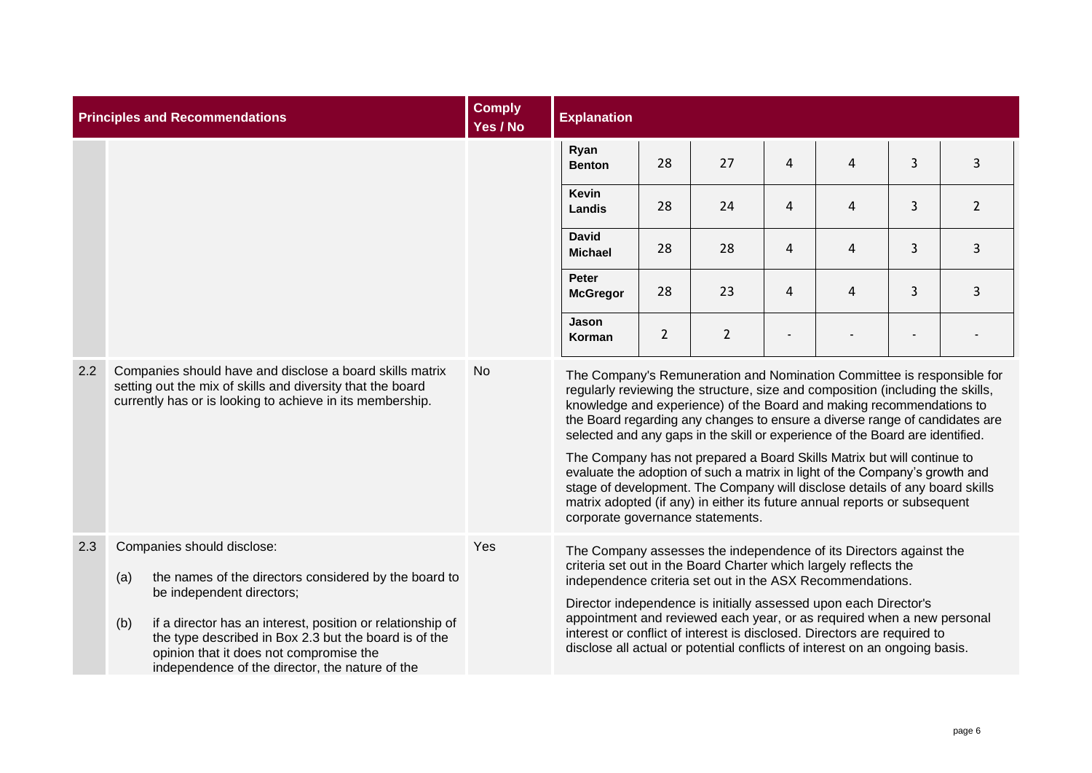| <b>Principles and Recommendations</b> |                                                                                                                                                                                     |                                                                                                                                                                                                                                                                                                                                       | <b>Comply</b><br>Yes / No      | <b>Explanation</b>                                                                                                                                                                                                                                                                                                                                                                                                                                                                                                                                                                                                                                                                                                                                         |              |                |   |              |                |                |
|---------------------------------------|-------------------------------------------------------------------------------------------------------------------------------------------------------------------------------------|---------------------------------------------------------------------------------------------------------------------------------------------------------------------------------------------------------------------------------------------------------------------------------------------------------------------------------------|--------------------------------|------------------------------------------------------------------------------------------------------------------------------------------------------------------------------------------------------------------------------------------------------------------------------------------------------------------------------------------------------------------------------------------------------------------------------------------------------------------------------------------------------------------------------------------------------------------------------------------------------------------------------------------------------------------------------------------------------------------------------------------------------------|--------------|----------------|---|--------------|----------------|----------------|
|                                       |                                                                                                                                                                                     |                                                                                                                                                                                                                                                                                                                                       |                                | Ryan<br><b>Benton</b>                                                                                                                                                                                                                                                                                                                                                                                                                                                                                                                                                                                                                                                                                                                                      | 28           | 27             | 4 | 4            | $\overline{3}$ | $\overline{3}$ |
|                                       |                                                                                                                                                                                     |                                                                                                                                                                                                                                                                                                                                       |                                | <b>Kevin</b><br><b>Landis</b>                                                                                                                                                                                                                                                                                                                                                                                                                                                                                                                                                                                                                                                                                                                              | 28           | 24             | 4 | 4            | 3              | $\overline{2}$ |
|                                       |                                                                                                                                                                                     |                                                                                                                                                                                                                                                                                                                                       | <b>David</b><br><b>Michael</b> | 28                                                                                                                                                                                                                                                                                                                                                                                                                                                                                                                                                                                                                                                                                                                                                         | 28           | 4              | 4 | 3            | 3              |                |
|                                       |                                                                                                                                                                                     |                                                                                                                                                                                                                                                                                                                                       | Peter<br><b>McGregor</b>       | 28                                                                                                                                                                                                                                                                                                                                                                                                                                                                                                                                                                                                                                                                                                                                                         | 23           | 4              | 4 | $\mathbf{3}$ | 3              |                |
|                                       |                                                                                                                                                                                     |                                                                                                                                                                                                                                                                                                                                       |                                | Jason<br>Korman                                                                                                                                                                                                                                                                                                                                                                                                                                                                                                                                                                                                                                                                                                                                            | $\mathbf{2}$ | $\overline{2}$ |   |              |                |                |
| 2.2                                   | Companies should have and disclose a board skills matrix<br>setting out the mix of skills and diversity that the board<br>currently has or is looking to achieve in its membership. |                                                                                                                                                                                                                                                                                                                                       |                                | The Company's Remuneration and Nomination Committee is responsible for<br>regularly reviewing the structure, size and composition (including the skills,<br>knowledge and experience) of the Board and making recommendations to<br>the Board regarding any changes to ensure a diverse range of candidates are<br>selected and any gaps in the skill or experience of the Board are identified.<br>The Company has not prepared a Board Skills Matrix but will continue to<br>evaluate the adoption of such a matrix in light of the Company's growth and<br>stage of development. The Company will disclose details of any board skills<br>matrix adopted (if any) in either its future annual reports or subsequent<br>corporate governance statements. |              |                |   |              |                |                |
| 2.3                                   | (a)<br>(b)                                                                                                                                                                          | Companies should disclose:<br>the names of the directors considered by the board to<br>be independent directors;<br>if a director has an interest, position or relationship of<br>the type described in Box 2.3 but the board is of the<br>opinion that it does not compromise the<br>independence of the director, the nature of the | Yes                            | The Company assesses the independence of its Directors against the<br>criteria set out in the Board Charter which largely reflects the<br>independence criteria set out in the ASX Recommendations.<br>Director independence is initially assessed upon each Director's<br>appointment and reviewed each year, or as required when a new personal<br>interest or conflict of interest is disclosed. Directors are required to<br>disclose all actual or potential conflicts of interest on an ongoing basis.                                                                                                                                                                                                                                               |              |                |   |              |                |                |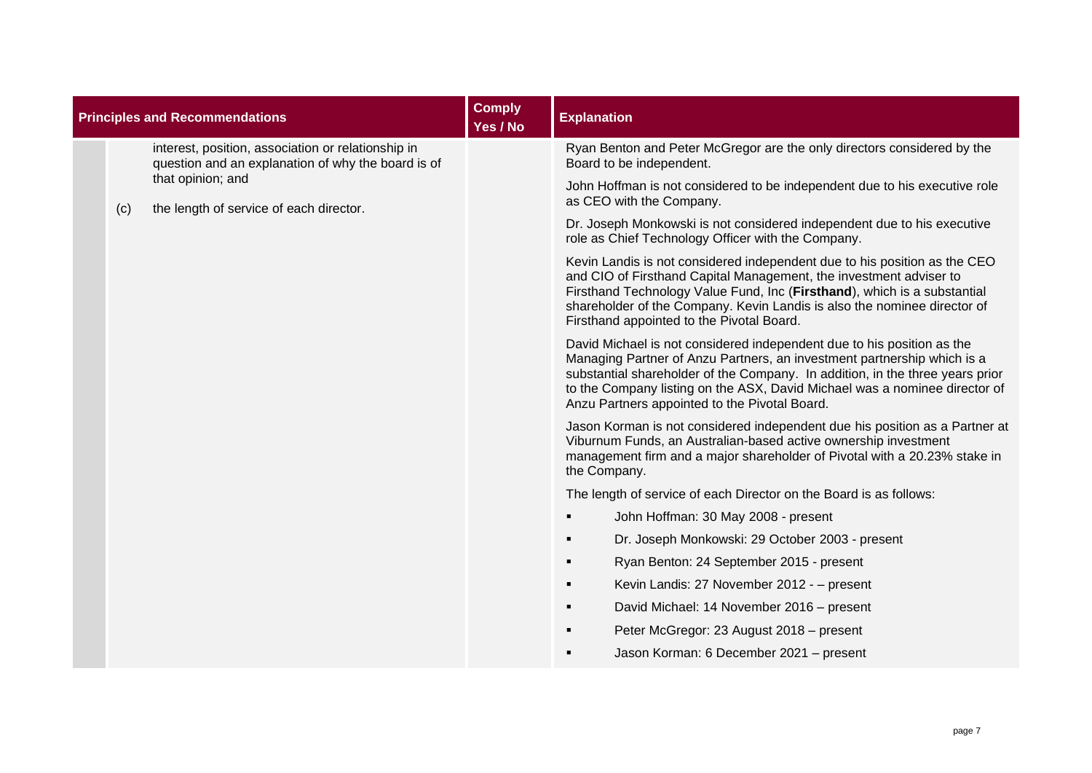|     | <b>Principles and Recommendations</b>                                                                    | <b>Comply</b><br>Yes / No | <b>Explanation</b>                                                                                                                                                                                                                                                                                                                                                |
|-----|----------------------------------------------------------------------------------------------------------|---------------------------|-------------------------------------------------------------------------------------------------------------------------------------------------------------------------------------------------------------------------------------------------------------------------------------------------------------------------------------------------------------------|
|     | interest, position, association or relationship in<br>question and an explanation of why the board is of |                           | Ryan Benton and Peter McGregor are the only directors considered by the<br>Board to be independent.                                                                                                                                                                                                                                                               |
| (c) | that opinion; and<br>the length of service of each director.                                             |                           | John Hoffman is not considered to be independent due to his executive role<br>as CEO with the Company.                                                                                                                                                                                                                                                            |
|     |                                                                                                          |                           | Dr. Joseph Monkowski is not considered independent due to his executive<br>role as Chief Technology Officer with the Company.                                                                                                                                                                                                                                     |
|     |                                                                                                          |                           | Kevin Landis is not considered independent due to his position as the CEO<br>and CIO of Firsthand Capital Management, the investment adviser to<br>Firsthand Technology Value Fund, Inc (Firsthand), which is a substantial<br>shareholder of the Company. Kevin Landis is also the nominee director of<br>Firsthand appointed to the Pivotal Board.              |
|     |                                                                                                          |                           | David Michael is not considered independent due to his position as the<br>Managing Partner of Anzu Partners, an investment partnership which is a<br>substantial shareholder of the Company. In addition, in the three years prior<br>to the Company listing on the ASX, David Michael was a nominee director of<br>Anzu Partners appointed to the Pivotal Board. |
|     |                                                                                                          |                           | Jason Korman is not considered independent due his position as a Partner at<br>Viburnum Funds, an Australian-based active ownership investment<br>management firm and a major shareholder of Pivotal with a 20.23% stake in<br>the Company.                                                                                                                       |
|     |                                                                                                          |                           | The length of service of each Director on the Board is as follows:                                                                                                                                                                                                                                                                                                |
|     |                                                                                                          |                           | John Hoffman: 30 May 2008 - present                                                                                                                                                                                                                                                                                                                               |
|     |                                                                                                          |                           | Dr. Joseph Monkowski: 29 October 2003 - present                                                                                                                                                                                                                                                                                                                   |
|     |                                                                                                          |                           | Ryan Benton: 24 September 2015 - present                                                                                                                                                                                                                                                                                                                          |
|     |                                                                                                          |                           | Kevin Landis: 27 November 2012 - - present<br>٠                                                                                                                                                                                                                                                                                                                   |
|     |                                                                                                          |                           | David Michael: 14 November 2016 - present                                                                                                                                                                                                                                                                                                                         |
|     |                                                                                                          |                           | Peter McGregor: 23 August 2018 - present                                                                                                                                                                                                                                                                                                                          |
|     |                                                                                                          |                           | Jason Korman: 6 December 2021 - present                                                                                                                                                                                                                                                                                                                           |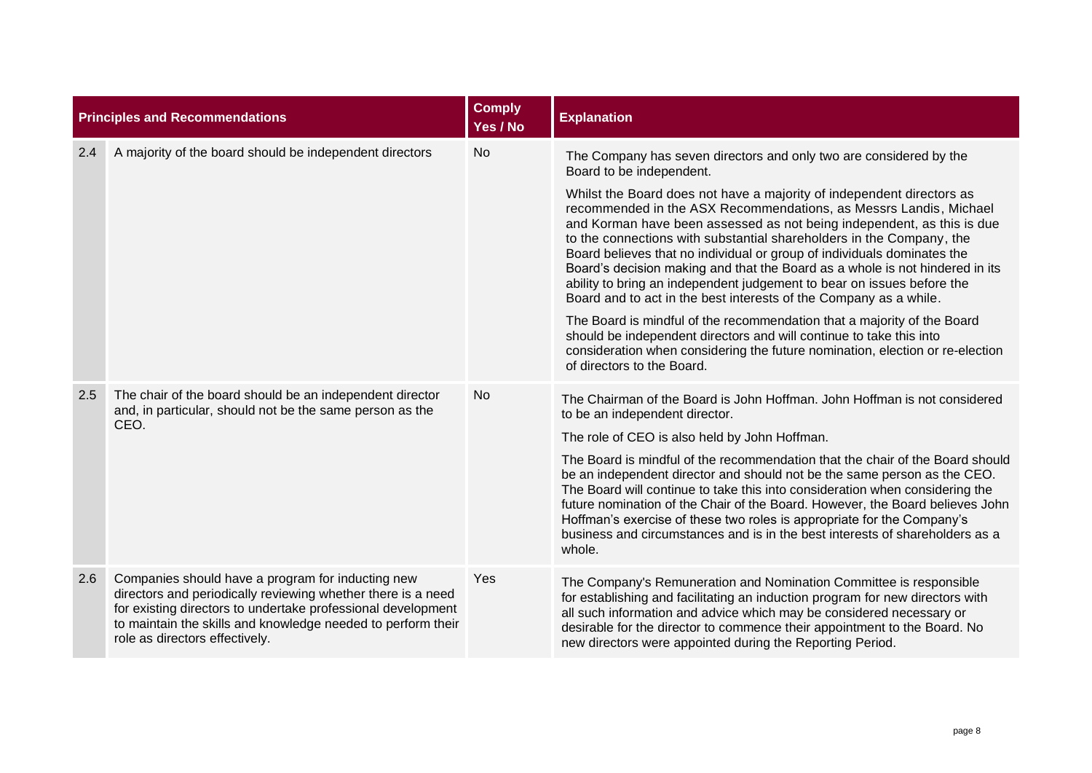|     | <b>Principles and Recommendations</b>                                                                                                                                                                                                                                               | <b>Comply</b><br>Yes / No | <b>Explanation</b>                                                                                                                                                                                                                                                                                                                                                                                                                                                                                                                                                                                     |
|-----|-------------------------------------------------------------------------------------------------------------------------------------------------------------------------------------------------------------------------------------------------------------------------------------|---------------------------|--------------------------------------------------------------------------------------------------------------------------------------------------------------------------------------------------------------------------------------------------------------------------------------------------------------------------------------------------------------------------------------------------------------------------------------------------------------------------------------------------------------------------------------------------------------------------------------------------------|
| 2.4 | A majority of the board should be independent directors                                                                                                                                                                                                                             | <b>No</b>                 | The Company has seven directors and only two are considered by the<br>Board to be independent.                                                                                                                                                                                                                                                                                                                                                                                                                                                                                                         |
|     |                                                                                                                                                                                                                                                                                     |                           | Whilst the Board does not have a majority of independent directors as<br>recommended in the ASX Recommendations, as Messrs Landis, Michael<br>and Korman have been assessed as not being independent, as this is due<br>to the connections with substantial shareholders in the Company, the<br>Board believes that no individual or group of individuals dominates the<br>Board's decision making and that the Board as a whole is not hindered in its<br>ability to bring an independent judgement to bear on issues before the<br>Board and to act in the best interests of the Company as a while. |
|     |                                                                                                                                                                                                                                                                                     |                           | The Board is mindful of the recommendation that a majority of the Board<br>should be independent directors and will continue to take this into<br>consideration when considering the future nomination, election or re-election<br>of directors to the Board.                                                                                                                                                                                                                                                                                                                                          |
| 2.5 | The chair of the board should be an independent director<br>and, in particular, should not be the same person as the<br>CEO.                                                                                                                                                        | No                        | The Chairman of the Board is John Hoffman. John Hoffman is not considered<br>to be an independent director.<br>The role of CEO is also held by John Hoffman.                                                                                                                                                                                                                                                                                                                                                                                                                                           |
|     |                                                                                                                                                                                                                                                                                     |                           | The Board is mindful of the recommendation that the chair of the Board should<br>be an independent director and should not be the same person as the CEO.<br>The Board will continue to take this into consideration when considering the<br>future nomination of the Chair of the Board. However, the Board believes John<br>Hoffman's exercise of these two roles is appropriate for the Company's<br>business and circumstances and is in the best interests of shareholders as a<br>whole.                                                                                                         |
| 2.6 | Companies should have a program for inducting new<br>directors and periodically reviewing whether there is a need<br>for existing directors to undertake professional development<br>to maintain the skills and knowledge needed to perform their<br>role as directors effectively. | Yes                       | The Company's Remuneration and Nomination Committee is responsible<br>for establishing and facilitating an induction program for new directors with<br>all such information and advice which may be considered necessary or<br>desirable for the director to commence their appointment to the Board. No<br>new directors were appointed during the Reporting Period.                                                                                                                                                                                                                                  |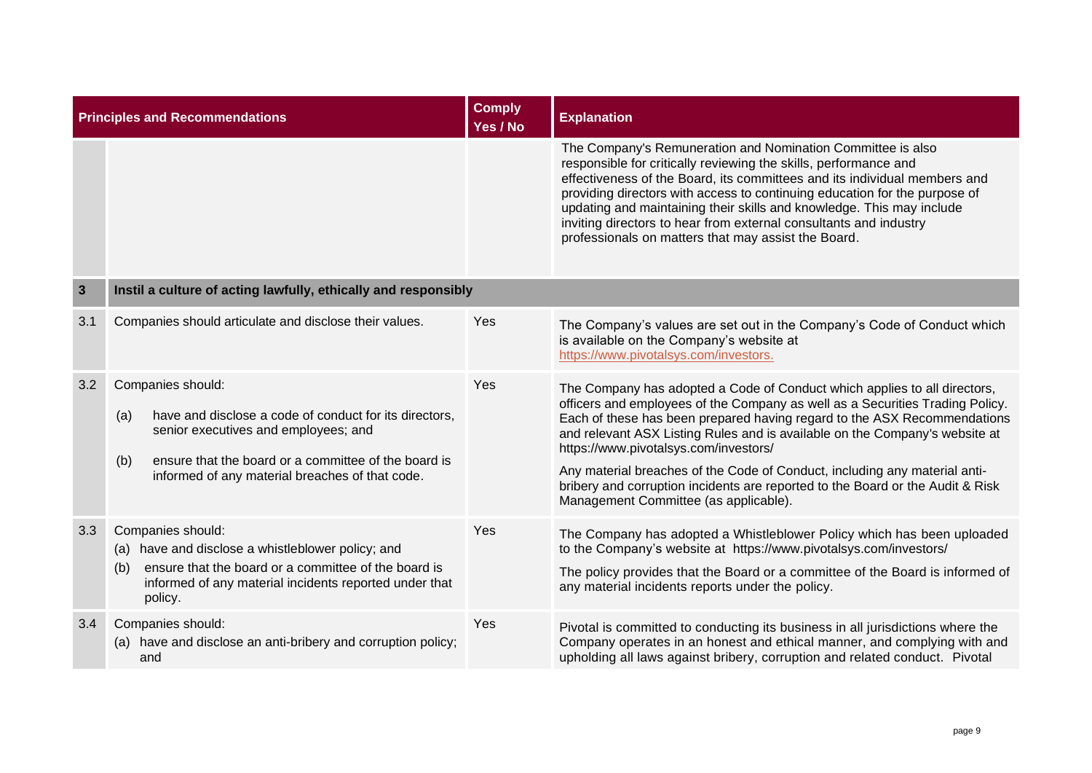|              | <b>Principles and Recommendations</b>                                                                                                                                                                                                        | <b>Comply</b><br>Yes / No | <b>Explanation</b>                                                                                                                                                                                                                                                                                                                                                                                                                                                                                                                                                      |
|--------------|----------------------------------------------------------------------------------------------------------------------------------------------------------------------------------------------------------------------------------------------|---------------------------|-------------------------------------------------------------------------------------------------------------------------------------------------------------------------------------------------------------------------------------------------------------------------------------------------------------------------------------------------------------------------------------------------------------------------------------------------------------------------------------------------------------------------------------------------------------------------|
|              |                                                                                                                                                                                                                                              |                           | The Company's Remuneration and Nomination Committee is also<br>responsible for critically reviewing the skills, performance and<br>effectiveness of the Board, its committees and its individual members and<br>providing directors with access to continuing education for the purpose of<br>updating and maintaining their skills and knowledge. This may include<br>inviting directors to hear from external consultants and industry<br>professionals on matters that may assist the Board.                                                                         |
| $\mathbf{3}$ | Instil a culture of acting lawfully, ethically and responsibly                                                                                                                                                                               |                           |                                                                                                                                                                                                                                                                                                                                                                                                                                                                                                                                                                         |
| 3.1          | Companies should articulate and disclose their values.                                                                                                                                                                                       | Yes                       | The Company's values are set out in the Company's Code of Conduct which<br>is available on the Company's website at<br>https://www.pivotalsys.com/investors.                                                                                                                                                                                                                                                                                                                                                                                                            |
| 3.2          | Companies should:<br>have and disclose a code of conduct for its directors,<br>(a)<br>senior executives and employees; and<br>ensure that the board or a committee of the board is<br>(b)<br>informed of any material breaches of that code. | Yes                       | The Company has adopted a Code of Conduct which applies to all directors,<br>officers and employees of the Company as well as a Securities Trading Policy.<br>Each of these has been prepared having regard to the ASX Recommendations<br>and relevant ASX Listing Rules and is available on the Company's website at<br>https://www.pivotalsys.com/investors/<br>Any material breaches of the Code of Conduct, including any material anti-<br>bribery and corruption incidents are reported to the Board or the Audit & Risk<br>Management Committee (as applicable). |
| 3.3          | Companies should:<br>(a) have and disclose a whistleblower policy; and<br>ensure that the board or a committee of the board is<br>(b)<br>informed of any material incidents reported under that<br>policy.                                   | Yes                       | The Company has adopted a Whistleblower Policy which has been uploaded<br>to the Company's website at https://www.pivotalsys.com/investors/<br>The policy provides that the Board or a committee of the Board is informed of<br>any material incidents reports under the policy.                                                                                                                                                                                                                                                                                        |
| 3.4          | Companies should:<br>(a) have and disclose an anti-bribery and corruption policy;<br>and                                                                                                                                                     | Yes                       | Pivotal is committed to conducting its business in all jurisdictions where the<br>Company operates in an honest and ethical manner, and complying with and<br>upholding all laws against bribery, corruption and related conduct. Pivotal                                                                                                                                                                                                                                                                                                                               |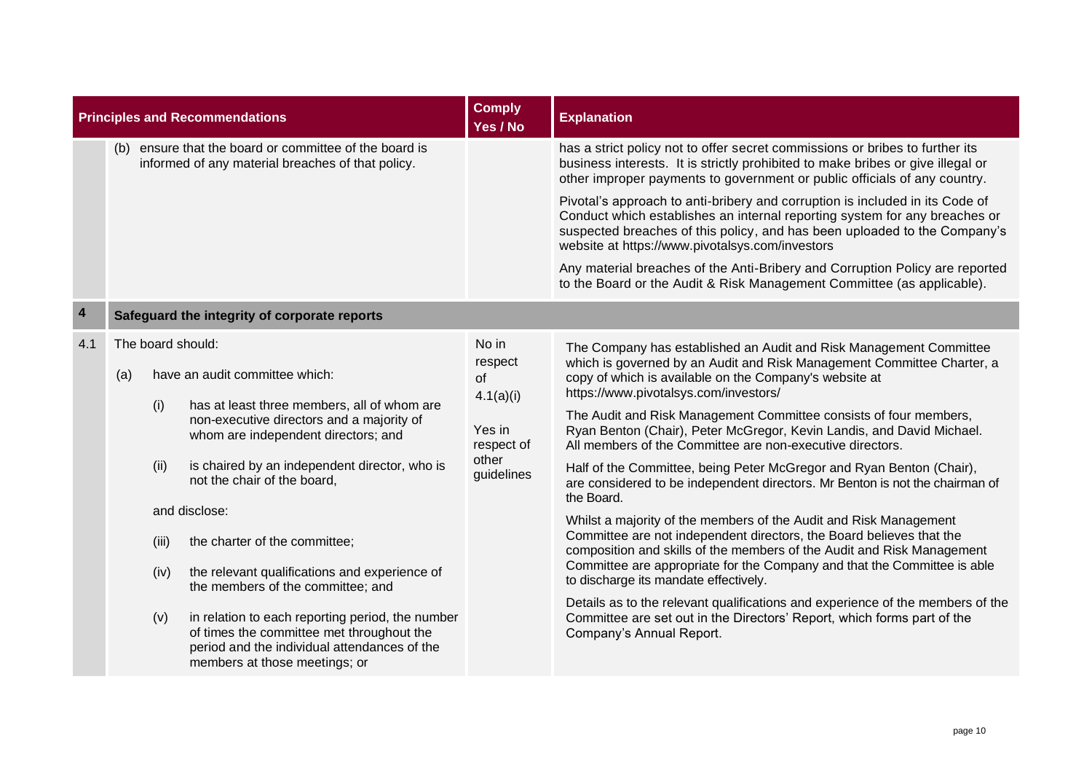| <b>Principles and Recommendations</b> |                          |                                     |                                                                                                                                                                                                                                                                                                                                                                                                                                                                                                                                                                             | <b>Comply</b><br>Yes / No                                                                 | <b>Explanation</b>                                                                                                                                                                                                                                                                                                                                                                                                                                                                                                                                                                                                                                                                                                                                                                                                                                                                                                                                                                                                                                                                                                                                                    |  |  |  |
|---------------------------------------|--------------------------|-------------------------------------|-----------------------------------------------------------------------------------------------------------------------------------------------------------------------------------------------------------------------------------------------------------------------------------------------------------------------------------------------------------------------------------------------------------------------------------------------------------------------------------------------------------------------------------------------------------------------------|-------------------------------------------------------------------------------------------|-----------------------------------------------------------------------------------------------------------------------------------------------------------------------------------------------------------------------------------------------------------------------------------------------------------------------------------------------------------------------------------------------------------------------------------------------------------------------------------------------------------------------------------------------------------------------------------------------------------------------------------------------------------------------------------------------------------------------------------------------------------------------------------------------------------------------------------------------------------------------------------------------------------------------------------------------------------------------------------------------------------------------------------------------------------------------------------------------------------------------------------------------------------------------|--|--|--|
|                                       |                          |                                     | (b) ensure that the board or committee of the board is<br>informed of any material breaches of that policy.                                                                                                                                                                                                                                                                                                                                                                                                                                                                 |                                                                                           | has a strict policy not to offer secret commissions or bribes to further its<br>business interests. It is strictly prohibited to make bribes or give illegal or<br>other improper payments to government or public officials of any country.                                                                                                                                                                                                                                                                                                                                                                                                                                                                                                                                                                                                                                                                                                                                                                                                                                                                                                                          |  |  |  |
|                                       |                          |                                     |                                                                                                                                                                                                                                                                                                                                                                                                                                                                                                                                                                             |                                                                                           | Pivotal's approach to anti-bribery and corruption is included in its Code of<br>Conduct which establishes an internal reporting system for any breaches or<br>suspected breaches of this policy, and has been uploaded to the Company's<br>website at https://www.pivotalsys.com/investors                                                                                                                                                                                                                                                                                                                                                                                                                                                                                                                                                                                                                                                                                                                                                                                                                                                                            |  |  |  |
|                                       |                          |                                     |                                                                                                                                                                                                                                                                                                                                                                                                                                                                                                                                                                             |                                                                                           | Any material breaches of the Anti-Bribery and Corruption Policy are reported<br>to the Board or the Audit & Risk Management Committee (as applicable).                                                                                                                                                                                                                                                                                                                                                                                                                                                                                                                                                                                                                                                                                                                                                                                                                                                                                                                                                                                                                |  |  |  |
| $\overline{4}$                        |                          |                                     | Safeguard the integrity of corporate reports                                                                                                                                                                                                                                                                                                                                                                                                                                                                                                                                |                                                                                           |                                                                                                                                                                                                                                                                                                                                                                                                                                                                                                                                                                                                                                                                                                                                                                                                                                                                                                                                                                                                                                                                                                                                                                       |  |  |  |
| 4.1                                   | The board should:<br>(a) | (i)<br>(ii)<br>(iii)<br>(iv)<br>(v) | have an audit committee which:<br>has at least three members, all of whom are<br>non-executive directors and a majority of<br>whom are independent directors; and<br>is chaired by an independent director, who is<br>not the chair of the board,<br>and disclose:<br>the charter of the committee;<br>the relevant qualifications and experience of<br>the members of the committee; and<br>in relation to each reporting period, the number<br>of times the committee met throughout the<br>period and the individual attendances of the<br>members at those meetings; or | No in<br>respect<br><b>of</b><br>4.1(a)(i)<br>Yes in<br>respect of<br>other<br>guidelines | The Company has established an Audit and Risk Management Committee<br>which is governed by an Audit and Risk Management Committee Charter, a<br>copy of which is available on the Company's website at<br>https://www.pivotalsys.com/investors/<br>The Audit and Risk Management Committee consists of four members,<br>Ryan Benton (Chair), Peter McGregor, Kevin Landis, and David Michael.<br>All members of the Committee are non-executive directors.<br>Half of the Committee, being Peter McGregor and Ryan Benton (Chair),<br>are considered to be independent directors. Mr Benton is not the chairman of<br>the Board.<br>Whilst a majority of the members of the Audit and Risk Management<br>Committee are not independent directors, the Board believes that the<br>composition and skills of the members of the Audit and Risk Management<br>Committee are appropriate for the Company and that the Committee is able<br>to discharge its mandate effectively.<br>Details as to the relevant qualifications and experience of the members of the<br>Committee are set out in the Directors' Report, which forms part of the<br>Company's Annual Report. |  |  |  |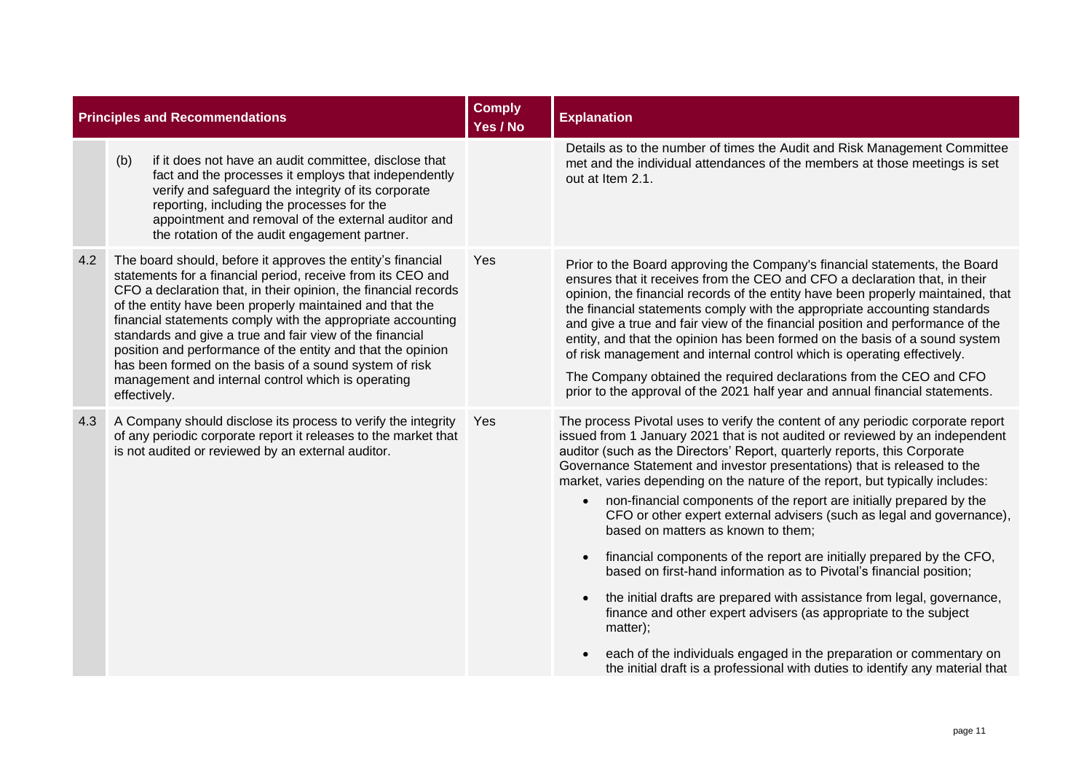|     | <b>Principles and Recommendations</b>                                                                                                                                                                                                                                                                                                                                                                                                                                                                                                                                               | <b>Comply</b><br>Yes / No | <b>Explanation</b>                                                                                                                                                                                                                                                                                                                                                                                                                                                                                                                                                                                                                                                                                                                                                                                                                                                                                                                                                                                                                                                                                         |
|-----|-------------------------------------------------------------------------------------------------------------------------------------------------------------------------------------------------------------------------------------------------------------------------------------------------------------------------------------------------------------------------------------------------------------------------------------------------------------------------------------------------------------------------------------------------------------------------------------|---------------------------|------------------------------------------------------------------------------------------------------------------------------------------------------------------------------------------------------------------------------------------------------------------------------------------------------------------------------------------------------------------------------------------------------------------------------------------------------------------------------------------------------------------------------------------------------------------------------------------------------------------------------------------------------------------------------------------------------------------------------------------------------------------------------------------------------------------------------------------------------------------------------------------------------------------------------------------------------------------------------------------------------------------------------------------------------------------------------------------------------------|
|     | if it does not have an audit committee, disclose that<br>(b)<br>fact and the processes it employs that independently<br>verify and safeguard the integrity of its corporate<br>reporting, including the processes for the<br>appointment and removal of the external auditor and<br>the rotation of the audit engagement partner.                                                                                                                                                                                                                                                   |                           | Details as to the number of times the Audit and Risk Management Committee<br>met and the individual attendances of the members at those meetings is set<br>out at Item 2.1.                                                                                                                                                                                                                                                                                                                                                                                                                                                                                                                                                                                                                                                                                                                                                                                                                                                                                                                                |
| 4.2 | The board should, before it approves the entity's financial<br>statements for a financial period, receive from its CEO and<br>CFO a declaration that, in their opinion, the financial records<br>of the entity have been properly maintained and that the<br>financial statements comply with the appropriate accounting<br>standards and give a true and fair view of the financial<br>position and performance of the entity and that the opinion<br>has been formed on the basis of a sound system of risk<br>management and internal control which is operating<br>effectively. | Yes                       | Prior to the Board approving the Company's financial statements, the Board<br>ensures that it receives from the CEO and CFO a declaration that, in their<br>opinion, the financial records of the entity have been properly maintained, that<br>the financial statements comply with the appropriate accounting standards<br>and give a true and fair view of the financial position and performance of the<br>entity, and that the opinion has been formed on the basis of a sound system<br>of risk management and internal control which is operating effectively.<br>The Company obtained the required declarations from the CEO and CFO<br>prior to the approval of the 2021 half year and annual financial statements.                                                                                                                                                                                                                                                                                                                                                                               |
| 4.3 | A Company should disclose its process to verify the integrity<br>of any periodic corporate report it releases to the market that<br>is not audited or reviewed by an external auditor.                                                                                                                                                                                                                                                                                                                                                                                              | Yes                       | The process Pivotal uses to verify the content of any periodic corporate report<br>issued from 1 January 2021 that is not audited or reviewed by an independent<br>auditor (such as the Directors' Report, quarterly reports, this Corporate<br>Governance Statement and investor presentations) that is released to the<br>market, varies depending on the nature of the report, but typically includes:<br>non-financial components of the report are initially prepared by the<br>$\bullet$<br>CFO or other expert external advisers (such as legal and governance),<br>based on matters as known to them;<br>financial components of the report are initially prepared by the CFO,<br>$\bullet$<br>based on first-hand information as to Pivotal's financial position;<br>the initial drafts are prepared with assistance from legal, governance,<br>$\bullet$<br>finance and other expert advisers (as appropriate to the subject<br>matter);<br>each of the individuals engaged in the preparation or commentary on<br>the initial draft is a professional with duties to identify any material that |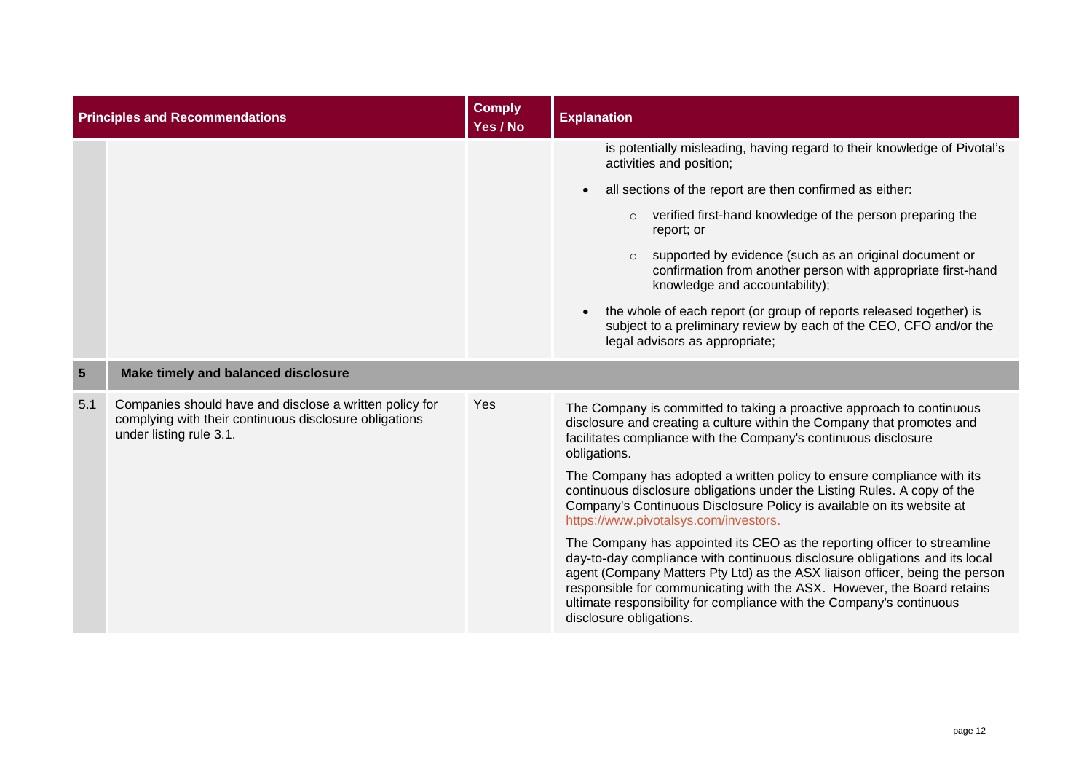|                 | <b>Principles and Recommendations</b>                                                                                                        | <b>Comply</b><br>Yes / No | <b>Explanation</b>                                                                                                                                                                                                                                                                                                                                                                                                  |
|-----------------|----------------------------------------------------------------------------------------------------------------------------------------------|---------------------------|---------------------------------------------------------------------------------------------------------------------------------------------------------------------------------------------------------------------------------------------------------------------------------------------------------------------------------------------------------------------------------------------------------------------|
|                 |                                                                                                                                              |                           | is potentially misleading, having regard to their knowledge of Pivotal's<br>activities and position;                                                                                                                                                                                                                                                                                                                |
|                 |                                                                                                                                              |                           | all sections of the report are then confirmed as either:<br>$\bullet$                                                                                                                                                                                                                                                                                                                                               |
|                 |                                                                                                                                              |                           | verified first-hand knowledge of the person preparing the<br>$\circ$<br>report; or                                                                                                                                                                                                                                                                                                                                  |
|                 |                                                                                                                                              |                           | supported by evidence (such as an original document or<br>confirmation from another person with appropriate first-hand<br>knowledge and accountability);                                                                                                                                                                                                                                                            |
|                 |                                                                                                                                              |                           | the whole of each report (or group of reports released together) is<br>subject to a preliminary review by each of the CEO, CFO and/or the<br>legal advisors as appropriate;                                                                                                                                                                                                                                         |
| $5\overline{5}$ | Make timely and balanced disclosure                                                                                                          |                           |                                                                                                                                                                                                                                                                                                                                                                                                                     |
| 5.1             | Companies should have and disclose a written policy for<br>complying with their continuous disclosure obligations<br>under listing rule 3.1. | Yes                       | The Company is committed to taking a proactive approach to continuous<br>disclosure and creating a culture within the Company that promotes and<br>facilitates compliance with the Company's continuous disclosure<br>obligations.                                                                                                                                                                                  |
|                 |                                                                                                                                              |                           | The Company has adopted a written policy to ensure compliance with its<br>continuous disclosure obligations under the Listing Rules. A copy of the<br>Company's Continuous Disclosure Policy is available on its website at<br>https://www.pivotalsys.com/investors.                                                                                                                                                |
|                 |                                                                                                                                              |                           | The Company has appointed its CEO as the reporting officer to streamline<br>day-to-day compliance with continuous disclosure obligations and its local<br>agent (Company Matters Pty Ltd) as the ASX liaison officer, being the person<br>responsible for communicating with the ASX. However, the Board retains<br>ultimate responsibility for compliance with the Company's continuous<br>disclosure obligations. |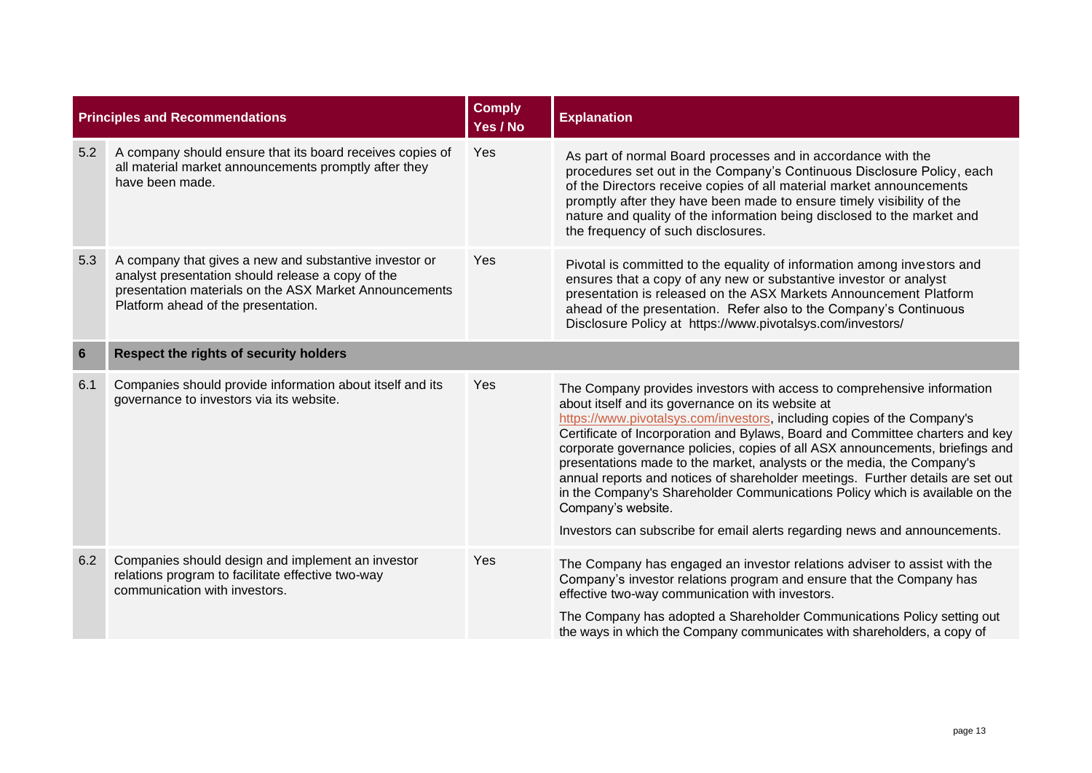|     | <b>Principles and Recommendations</b>                                                                                                                                                                        | <b>Comply</b><br>Yes / No | <b>Explanation</b>                                                                                                                                                                                                                                                                                                                                                                                                                                                                                                                                                                                                                                                                                                         |
|-----|--------------------------------------------------------------------------------------------------------------------------------------------------------------------------------------------------------------|---------------------------|----------------------------------------------------------------------------------------------------------------------------------------------------------------------------------------------------------------------------------------------------------------------------------------------------------------------------------------------------------------------------------------------------------------------------------------------------------------------------------------------------------------------------------------------------------------------------------------------------------------------------------------------------------------------------------------------------------------------------|
| 5.2 | A company should ensure that its board receives copies of<br>all material market announcements promptly after they<br>have been made.                                                                        | Yes                       | As part of normal Board processes and in accordance with the<br>procedures set out in the Company's Continuous Disclosure Policy, each<br>of the Directors receive copies of all material market announcements<br>promptly after they have been made to ensure timely visibility of the<br>nature and quality of the information being disclosed to the market and<br>the frequency of such disclosures.                                                                                                                                                                                                                                                                                                                   |
| 5.3 | A company that gives a new and substantive investor or<br>analyst presentation should release a copy of the<br>presentation materials on the ASX Market Announcements<br>Platform ahead of the presentation. | Yes                       | Pivotal is committed to the equality of information among investors and<br>ensures that a copy of any new or substantive investor or analyst<br>presentation is released on the ASX Markets Announcement Platform<br>ahead of the presentation. Refer also to the Company's Continuous<br>Disclosure Policy at https://www.pivotalsys.com/investors/                                                                                                                                                                                                                                                                                                                                                                       |
| 6   | Respect the rights of security holders                                                                                                                                                                       |                           |                                                                                                                                                                                                                                                                                                                                                                                                                                                                                                                                                                                                                                                                                                                            |
| 6.1 | Companies should provide information about itself and its<br>governance to investors via its website.                                                                                                        | Yes                       | The Company provides investors with access to comprehensive information<br>about itself and its governance on its website at<br>https://www.pivotalsys.com/investors, including copies of the Company's<br>Certificate of Incorporation and Bylaws, Board and Committee charters and key<br>corporate governance policies, copies of all ASX announcements, briefings and<br>presentations made to the market, analysts or the media, the Company's<br>annual reports and notices of shareholder meetings. Further details are set out<br>in the Company's Shareholder Communications Policy which is available on the<br>Company's website.<br>Investors can subscribe for email alerts regarding news and announcements. |
| 6.2 | Companies should design and implement an investor<br>relations program to facilitate effective two-way<br>communication with investors.                                                                      | Yes                       | The Company has engaged an investor relations adviser to assist with the<br>Company's investor relations program and ensure that the Company has<br>effective two-way communication with investors.<br>The Company has adopted a Shareholder Communications Policy setting out                                                                                                                                                                                                                                                                                                                                                                                                                                             |
|     |                                                                                                                                                                                                              |                           | the ways in which the Company communicates with shareholders, a copy of                                                                                                                                                                                                                                                                                                                                                                                                                                                                                                                                                                                                                                                    |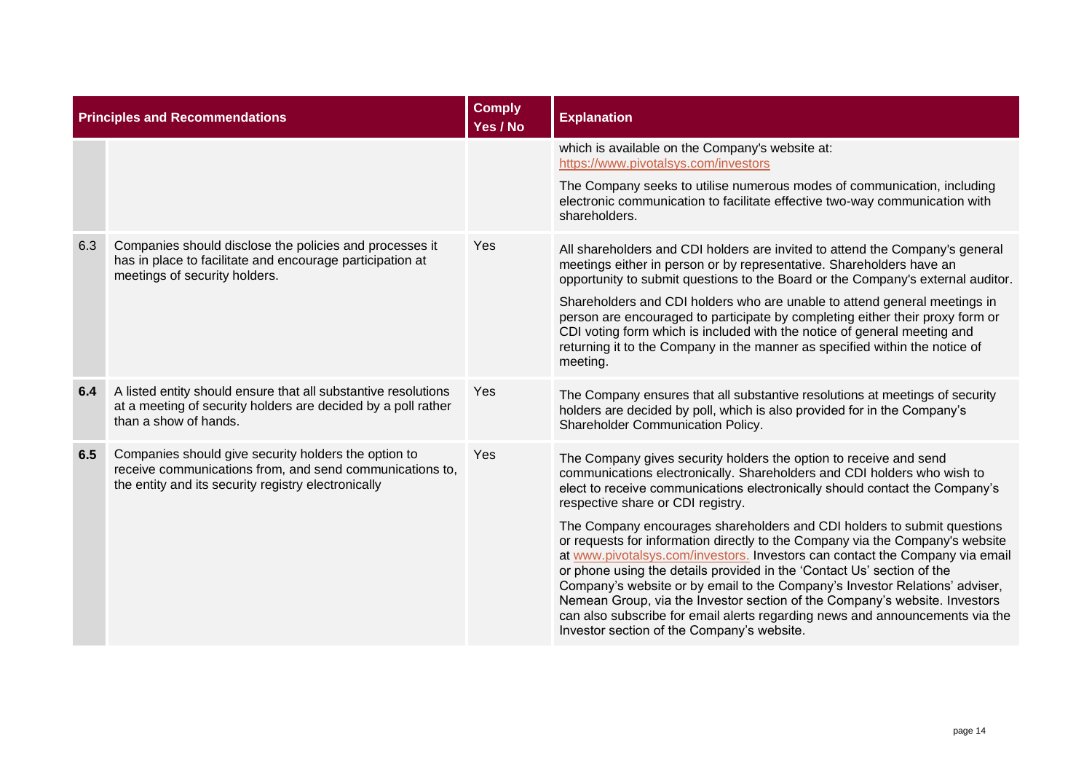| <b>Principles and Recommendations</b> |                                                                                                                                                                         | <b>Comply</b><br>Yes / No | <b>Explanation</b>                                                                                                                                                                                                                                                                                                                                                                                                                                                                                                                                                                                            |
|---------------------------------------|-------------------------------------------------------------------------------------------------------------------------------------------------------------------------|---------------------------|---------------------------------------------------------------------------------------------------------------------------------------------------------------------------------------------------------------------------------------------------------------------------------------------------------------------------------------------------------------------------------------------------------------------------------------------------------------------------------------------------------------------------------------------------------------------------------------------------------------|
|                                       |                                                                                                                                                                         |                           | which is available on the Company's website at:<br>https://www.pivotalsys.com/investors                                                                                                                                                                                                                                                                                                                                                                                                                                                                                                                       |
|                                       |                                                                                                                                                                         |                           | The Company seeks to utilise numerous modes of communication, including<br>electronic communication to facilitate effective two-way communication with<br>shareholders.                                                                                                                                                                                                                                                                                                                                                                                                                                       |
| 6.3                                   | Companies should disclose the policies and processes it<br>has in place to facilitate and encourage participation at<br>meetings of security holders.                   | Yes                       | All shareholders and CDI holders are invited to attend the Company's general<br>meetings either in person or by representative. Shareholders have an<br>opportunity to submit questions to the Board or the Company's external auditor.                                                                                                                                                                                                                                                                                                                                                                       |
|                                       |                                                                                                                                                                         |                           | Shareholders and CDI holders who are unable to attend general meetings in<br>person are encouraged to participate by completing either their proxy form or<br>CDI voting form which is included with the notice of general meeting and<br>returning it to the Company in the manner as specified within the notice of<br>meeting.                                                                                                                                                                                                                                                                             |
| 6.4                                   | A listed entity should ensure that all substantive resolutions<br>at a meeting of security holders are decided by a poll rather<br>than a show of hands.                | Yes                       | The Company ensures that all substantive resolutions at meetings of security<br>holders are decided by poll, which is also provided for in the Company's<br>Shareholder Communication Policy.                                                                                                                                                                                                                                                                                                                                                                                                                 |
| 6.5                                   | Companies should give security holders the option to<br>receive communications from, and send communications to,<br>the entity and its security registry electronically | Yes                       | The Company gives security holders the option to receive and send<br>communications electronically. Shareholders and CDI holders who wish to<br>elect to receive communications electronically should contact the Company's<br>respective share or CDI registry.                                                                                                                                                                                                                                                                                                                                              |
|                                       |                                                                                                                                                                         |                           | The Company encourages shareholders and CDI holders to submit questions<br>or requests for information directly to the Company via the Company's website<br>at www.pivotalsys.com/investors. Investors can contact the Company via email<br>or phone using the details provided in the 'Contact Us' section of the<br>Company's website or by email to the Company's Investor Relations' adviser,<br>Nemean Group, via the Investor section of the Company's website. Investors<br>can also subscribe for email alerts regarding news and announcements via the<br>Investor section of the Company's website. |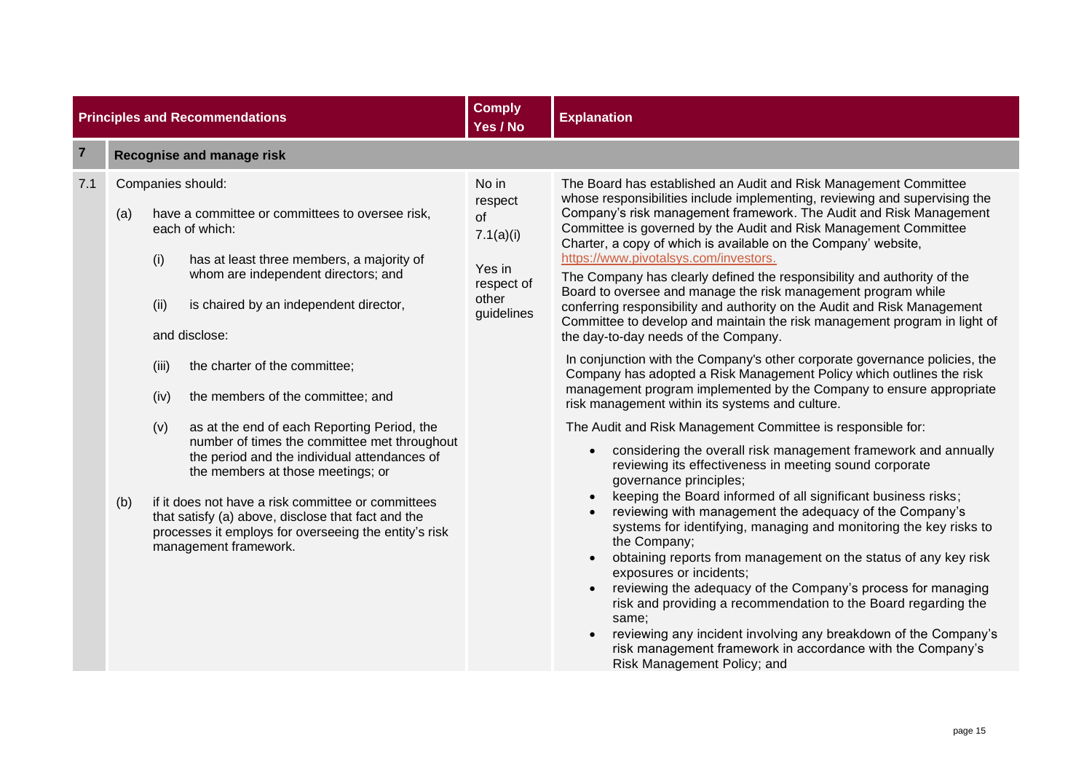| <b>Principles and Recommendations</b> |                                  | <b>Comply</b><br>Yes / No           | <b>Explanation</b>                                                                                                                                                                                                                                                                                                                                                                                                                                                                                                                                                                                                                                                                            |                                                                                    |                                                                                                                                                                                                                                                                                                                                                                                                                                                                                                                                                                                                                                                                                                                                                                                                                                                                                                                                                                                                                                                                                                                                                                                                                                                                                                                                                                                                                                                                                                                                                                                                                                                                                                                                                                                                                                                                                 |
|---------------------------------------|----------------------------------|-------------------------------------|-----------------------------------------------------------------------------------------------------------------------------------------------------------------------------------------------------------------------------------------------------------------------------------------------------------------------------------------------------------------------------------------------------------------------------------------------------------------------------------------------------------------------------------------------------------------------------------------------------------------------------------------------------------------------------------------------|------------------------------------------------------------------------------------|---------------------------------------------------------------------------------------------------------------------------------------------------------------------------------------------------------------------------------------------------------------------------------------------------------------------------------------------------------------------------------------------------------------------------------------------------------------------------------------------------------------------------------------------------------------------------------------------------------------------------------------------------------------------------------------------------------------------------------------------------------------------------------------------------------------------------------------------------------------------------------------------------------------------------------------------------------------------------------------------------------------------------------------------------------------------------------------------------------------------------------------------------------------------------------------------------------------------------------------------------------------------------------------------------------------------------------------------------------------------------------------------------------------------------------------------------------------------------------------------------------------------------------------------------------------------------------------------------------------------------------------------------------------------------------------------------------------------------------------------------------------------------------------------------------------------------------------------------------------------------------|
| $\overline{7}$                        | <b>Recognise and manage risk</b> |                                     |                                                                                                                                                                                                                                                                                                                                                                                                                                                                                                                                                                                                                                                                                               |                                                                                    |                                                                                                                                                                                                                                                                                                                                                                                                                                                                                                                                                                                                                                                                                                                                                                                                                                                                                                                                                                                                                                                                                                                                                                                                                                                                                                                                                                                                                                                                                                                                                                                                                                                                                                                                                                                                                                                                                 |
| 7.1                                   | (a)<br>(b)                       | (i)<br>(ii)<br>(iii)<br>(iv)<br>(v) | Companies should:<br>have a committee or committees to oversee risk,<br>each of which:<br>has at least three members, a majority of<br>whom are independent directors; and<br>is chaired by an independent director,<br>and disclose:<br>the charter of the committee;<br>the members of the committee; and<br>as at the end of each Reporting Period, the<br>number of times the committee met throughout<br>the period and the individual attendances of<br>the members at those meetings; or<br>if it does not have a risk committee or committees<br>that satisfy (a) above, disclose that fact and the<br>processes it employs for overseeing the entity's risk<br>management framework. | No in<br>respect<br>of<br>7.1(a)(i)<br>Yes in<br>respect of<br>other<br>guidelines | The Board has established an Audit and Risk Management Committee<br>whose responsibilities include implementing, reviewing and supervising the<br>Company's risk management framework. The Audit and Risk Management<br>Committee is governed by the Audit and Risk Management Committee<br>Charter, a copy of which is available on the Company' website,<br>https://www.pivotalsys.com/investors.<br>The Company has clearly defined the responsibility and authority of the<br>Board to oversee and manage the risk management program while<br>conferring responsibility and authority on the Audit and Risk Management<br>Committee to develop and maintain the risk management program in light of<br>the day-to-day needs of the Company.<br>In conjunction with the Company's other corporate governance policies, the<br>Company has adopted a Risk Management Policy which outlines the risk<br>management program implemented by the Company to ensure appropriate<br>risk management within its systems and culture.<br>The Audit and Risk Management Committee is responsible for:<br>considering the overall risk management framework and annually<br>reviewing its effectiveness in meeting sound corporate<br>governance principles;<br>keeping the Board informed of all significant business risks;<br>reviewing with management the adequacy of the Company's<br>systems for identifying, managing and monitoring the key risks to<br>the Company;<br>obtaining reports from management on the status of any key risk<br>exposures or incidents;<br>reviewing the adequacy of the Company's process for managing<br>risk and providing a recommendation to the Board regarding the<br>same;<br>reviewing any incident involving any breakdown of the Company's<br>risk management framework in accordance with the Company's<br>Risk Management Policy; and |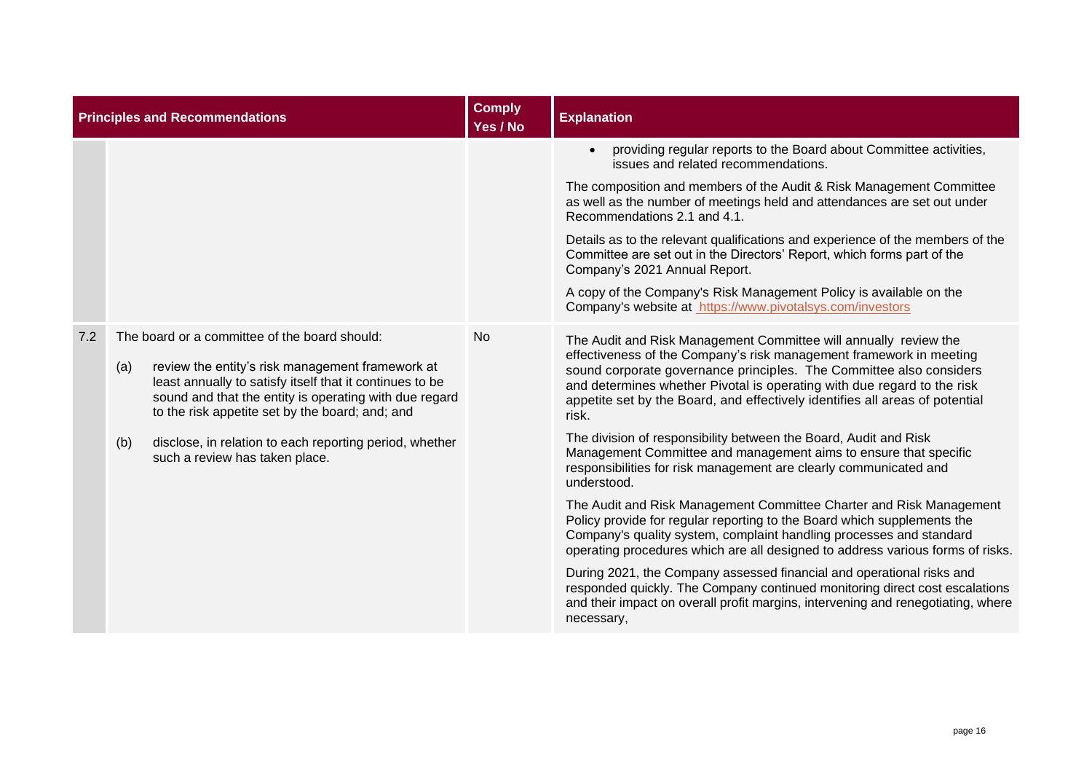| <b>Principles and Recommendations</b> |                                                                                                                                                                                                                                                                                   | <b>Comply</b><br>Yes / No | <b>Explanation</b>                                                                                                                                                                                                                                                                                                                                                                 |
|---------------------------------------|-----------------------------------------------------------------------------------------------------------------------------------------------------------------------------------------------------------------------------------------------------------------------------------|---------------------------|------------------------------------------------------------------------------------------------------------------------------------------------------------------------------------------------------------------------------------------------------------------------------------------------------------------------------------------------------------------------------------|
|                                       |                                                                                                                                                                                                                                                                                   |                           | providing regular reports to the Board about Committee activities,<br>issues and related recommendations.                                                                                                                                                                                                                                                                          |
|                                       |                                                                                                                                                                                                                                                                                   |                           | The composition and members of the Audit & Risk Management Committee<br>as well as the number of meetings held and attendances are set out under<br>Recommendations 2.1 and 4.1.                                                                                                                                                                                                   |
|                                       |                                                                                                                                                                                                                                                                                   |                           | Details as to the relevant qualifications and experience of the members of the<br>Committee are set out in the Directors' Report, which forms part of the<br>Company's 2021 Annual Report.                                                                                                                                                                                         |
|                                       |                                                                                                                                                                                                                                                                                   |                           | A copy of the Company's Risk Management Policy is available on the<br>Company's website at https://www.pivotalsys.com/investors                                                                                                                                                                                                                                                    |
| 7.2                                   | The board or a committee of the board should:<br>review the entity's risk management framework at<br>(a)<br>least annually to satisfy itself that it continues to be<br>sound and that the entity is operating with due regard<br>to the risk appetite set by the board; and; and | <b>No</b>                 | The Audit and Risk Management Committee will annually review the<br>effectiveness of the Company's risk management framework in meeting<br>sound corporate governance principles. The Committee also considers<br>and determines whether Pivotal is operating with due regard to the risk<br>appetite set by the Board, and effectively identifies all areas of potential<br>risk. |
|                                       | disclose, in relation to each reporting period, whether<br>such a review has taken place.                                                                                                                                                                                         |                           | The division of responsibility between the Board, Audit and Risk<br>Management Committee and management aims to ensure that specific<br>responsibilities for risk management are clearly communicated and<br>understood.                                                                                                                                                           |
|                                       |                                                                                                                                                                                                                                                                                   |                           | The Audit and Risk Management Committee Charter and Risk Management<br>Policy provide for regular reporting to the Board which supplements the<br>Company's quality system, complaint handling processes and standard<br>operating procedures which are all designed to address various forms of risks.                                                                            |
|                                       |                                                                                                                                                                                                                                                                                   |                           | During 2021, the Company assessed financial and operational risks and<br>responded quickly. The Company continued monitoring direct cost escalations<br>and their impact on overall profit margins, intervening and renegotiating, where<br>necessary,                                                                                                                             |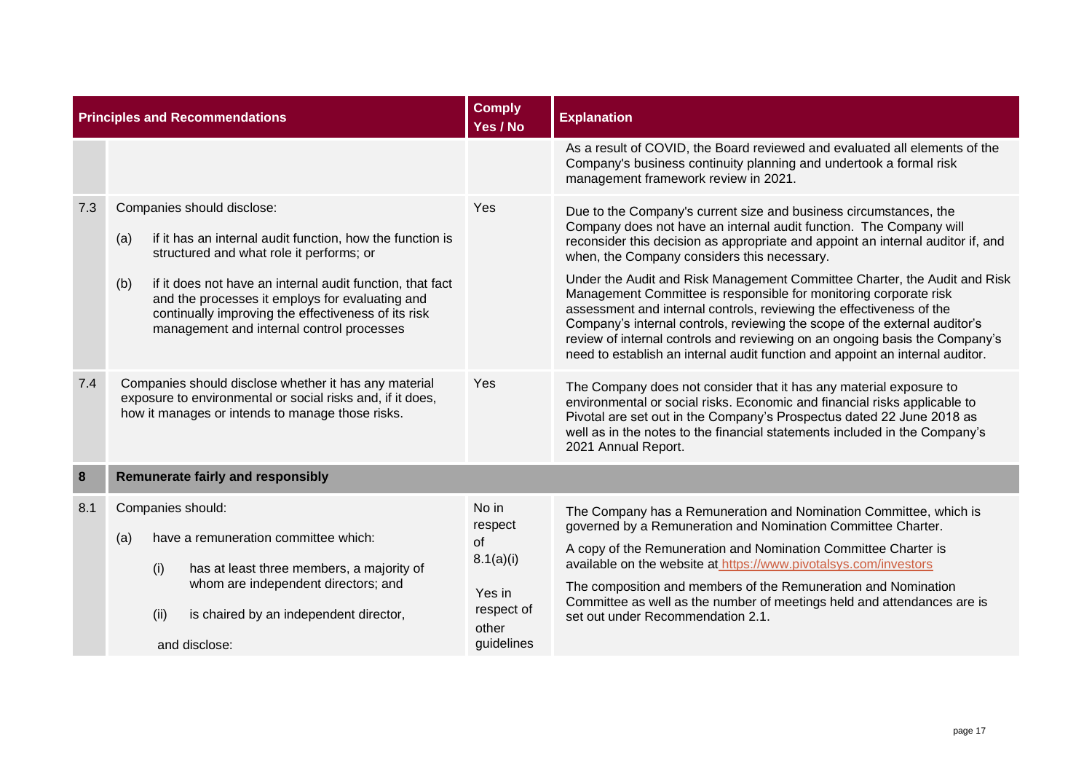|     | <b>Principles and Recommendations</b>                                                                                                                                                                                                                                                                                                                                 | <b>Comply</b><br>Yes / No | <b>Explanation</b>                                                                                                                                                                                                                                                                                                                                                                                                                                                                                                                                                                                                                                                                                                                                |  |
|-----|-----------------------------------------------------------------------------------------------------------------------------------------------------------------------------------------------------------------------------------------------------------------------------------------------------------------------------------------------------------------------|---------------------------|---------------------------------------------------------------------------------------------------------------------------------------------------------------------------------------------------------------------------------------------------------------------------------------------------------------------------------------------------------------------------------------------------------------------------------------------------------------------------------------------------------------------------------------------------------------------------------------------------------------------------------------------------------------------------------------------------------------------------------------------------|--|
|     |                                                                                                                                                                                                                                                                                                                                                                       |                           | As a result of COVID, the Board reviewed and evaluated all elements of the<br>Company's business continuity planning and undertook a formal risk<br>management framework review in 2021.                                                                                                                                                                                                                                                                                                                                                                                                                                                                                                                                                          |  |
| 7.3 | Companies should disclose:<br>if it has an internal audit function, how the function is<br>(a)<br>structured and what role it performs; or<br>if it does not have an internal audit function, that fact<br>(b)<br>and the processes it employs for evaluating and<br>continually improving the effectiveness of its risk<br>management and internal control processes | Yes                       | Due to the Company's current size and business circumstances, the<br>Company does not have an internal audit function. The Company will<br>reconsider this decision as appropriate and appoint an internal auditor if, and<br>when, the Company considers this necessary.<br>Under the Audit and Risk Management Committee Charter, the Audit and Risk<br>Management Committee is responsible for monitoring corporate risk<br>assessment and internal controls, reviewing the effectiveness of the<br>Company's internal controls, reviewing the scope of the external auditor's<br>review of internal controls and reviewing on an ongoing basis the Company's<br>need to establish an internal audit function and appoint an internal auditor. |  |
| 7.4 | Companies should disclose whether it has any material<br>exposure to environmental or social risks and, if it does,<br>how it manages or intends to manage those risks.                                                                                                                                                                                               |                           | The Company does not consider that it has any material exposure to<br>environmental or social risks. Economic and financial risks applicable to<br>Pivotal are set out in the Company's Prospectus dated 22 June 2018 as<br>well as in the notes to the financial statements included in the Company's<br>2021 Annual Report.                                                                                                                                                                                                                                                                                                                                                                                                                     |  |
| 8   | <b>Remunerate fairly and responsibly</b>                                                                                                                                                                                                                                                                                                                              |                           |                                                                                                                                                                                                                                                                                                                                                                                                                                                                                                                                                                                                                                                                                                                                                   |  |
| 8.1 | Companies should:<br>have a remuneration committee which:<br>(a)<br>(i)<br>has at least three members, a majority of<br>whom are independent directors; and<br>(ii)<br>is chaired by an independent director,<br>and disclose:                                                                                                                                        |                           | The Company has a Remuneration and Nomination Committee, which is<br>governed by a Remuneration and Nomination Committee Charter.<br>A copy of the Remuneration and Nomination Committee Charter is<br>available on the website at https://www.pivotalsys.com/investors<br>The composition and members of the Remuneration and Nomination<br>Committee as well as the number of meetings held and attendances are is<br>set out under Recommendation 2.1.                                                                                                                                                                                                                                                                                         |  |
|     |                                                                                                                                                                                                                                                                                                                                                                       | guidelines                |                                                                                                                                                                                                                                                                                                                                                                                                                                                                                                                                                                                                                                                                                                                                                   |  |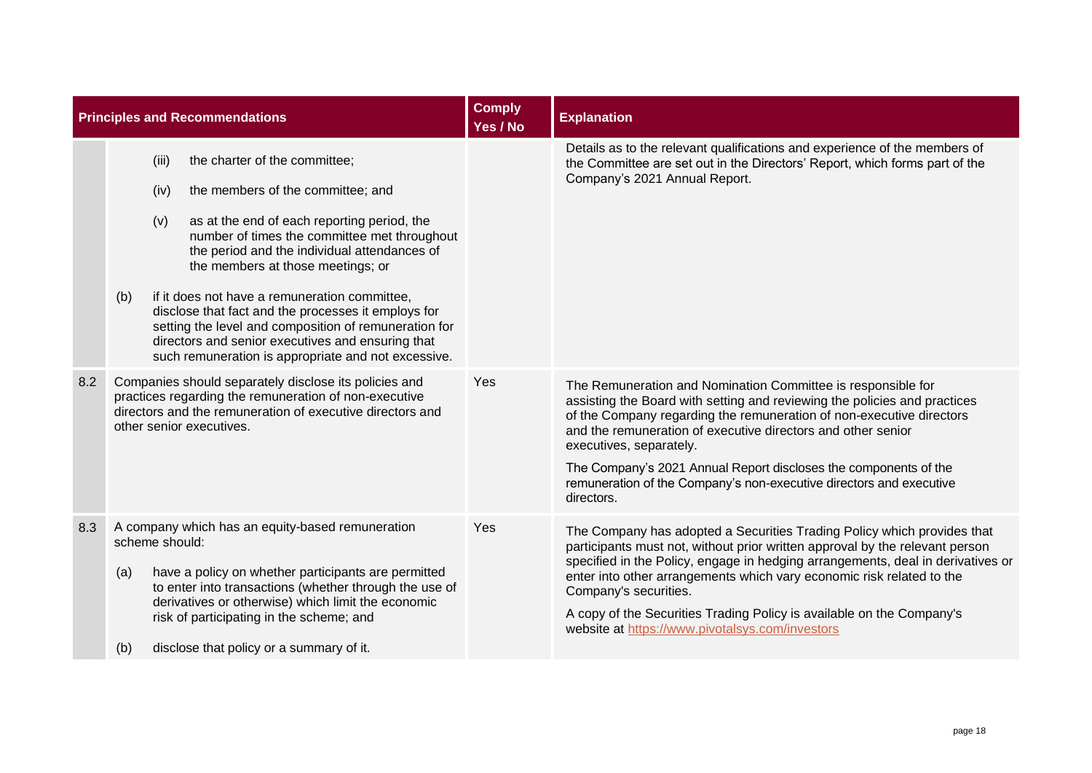|     | <b>Principles and Recommendations</b>                                                                                                                                                                                                                                                                                                                                                                                                                                                                                                                              | <b>Comply</b><br>Yes / No | <b>Explanation</b>                                                                                                                                                                                                                                                                                                                                                                                                                                                       |
|-----|--------------------------------------------------------------------------------------------------------------------------------------------------------------------------------------------------------------------------------------------------------------------------------------------------------------------------------------------------------------------------------------------------------------------------------------------------------------------------------------------------------------------------------------------------------------------|---------------------------|--------------------------------------------------------------------------------------------------------------------------------------------------------------------------------------------------------------------------------------------------------------------------------------------------------------------------------------------------------------------------------------------------------------------------------------------------------------------------|
|     | the charter of the committee;<br>(iii)<br>the members of the committee; and<br>(iv)<br>(v)<br>as at the end of each reporting period, the<br>number of times the committee met throughout<br>the period and the individual attendances of<br>the members at those meetings; or<br>if it does not have a remuneration committee,<br>(b)<br>disclose that fact and the processes it employs for<br>setting the level and composition of remuneration for<br>directors and senior executives and ensuring that<br>such remuneration is appropriate and not excessive. |                           | Details as to the relevant qualifications and experience of the members of<br>the Committee are set out in the Directors' Report, which forms part of the<br>Company's 2021 Annual Report.                                                                                                                                                                                                                                                                               |
| 8.2 | Companies should separately disclose its policies and<br>practices regarding the remuneration of non-executive<br>directors and the remuneration of executive directors and<br>other senior executives.                                                                                                                                                                                                                                                                                                                                                            | Yes                       | The Remuneration and Nomination Committee is responsible for<br>assisting the Board with setting and reviewing the policies and practices<br>of the Company regarding the remuneration of non-executive directors<br>and the remuneration of executive directors and other senior<br>executives, separately.<br>The Company's 2021 Annual Report discloses the components of the<br>remuneration of the Company's non-executive directors and executive<br>directors.    |
| 8.3 | A company which has an equity-based remuneration<br>scheme should:<br>have a policy on whether participants are permitted<br>(a)<br>to enter into transactions (whether through the use of<br>derivatives or otherwise) which limit the economic<br>risk of participating in the scheme; and<br>disclose that policy or a summary of it.<br>(b)                                                                                                                                                                                                                    | Yes                       | The Company has adopted a Securities Trading Policy which provides that<br>participants must not, without prior written approval by the relevant person<br>specified in the Policy, engage in hedging arrangements, deal in derivatives or<br>enter into other arrangements which vary economic risk related to the<br>Company's securities.<br>A copy of the Securities Trading Policy is available on the Company's<br>website at https://www.pivotalsys.com/investors |